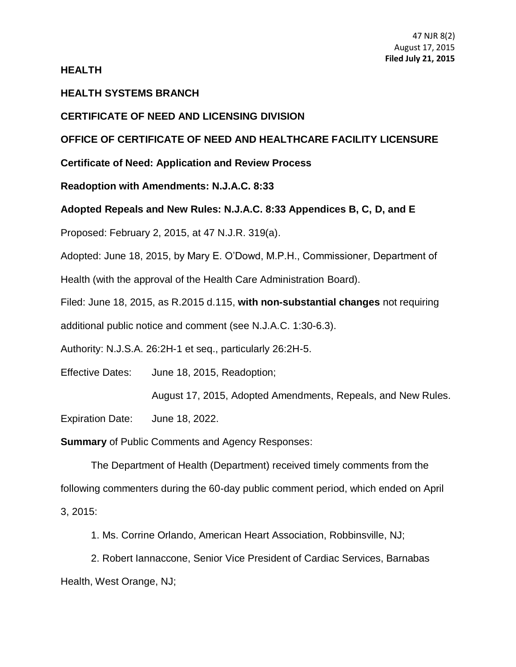**HEALTH**

## **HEALTH SYSTEMS BRANCH**

## **CERTIFICATE OF NEED AND LICENSING DIVISION**

# **OFFICE OF CERTIFICATE OF NEED AND HEALTHCARE FACILITY LICENSURE**

**Certificate of Need: Application and Review Process**

**Readoption with Amendments: N.J.A.C. 8:33**

## **Adopted Repeals and New Rules: N.J.A.C. 8:33 Appendices B, C, D, and E**

Proposed: February 2, 2015, at 47 N.J.R. 319(a).

Adopted: June 18, 2015, by Mary E. O'Dowd, M.P.H., Commissioner, Department of

Health (with the approval of the Health Care Administration Board).

Filed: June 18, 2015, as R.2015 d.115, **with non-substantial changes** not requiring

additional public notice and comment (see N.J.A.C. 1:30-6.3).

Authority: N.J.S.A. 26:2H-1 et seq., particularly 26:2H-5.

Effective Dates: June 18, 2015, Readoption;

August 17, 2015, Adopted Amendments, Repeals, and New Rules.

Expiration Date: June 18, 2022.

**Summary** of Public Comments and Agency Responses:

The Department of Health (Department) received timely comments from the following commenters during the 60-day public comment period, which ended on April 3, 2015:

1. Ms. Corrine Orlando, American Heart Association, Robbinsville, NJ;

2. Robert Iannaccone, Senior Vice President of Cardiac Services, Barnabas Health, West Orange, NJ;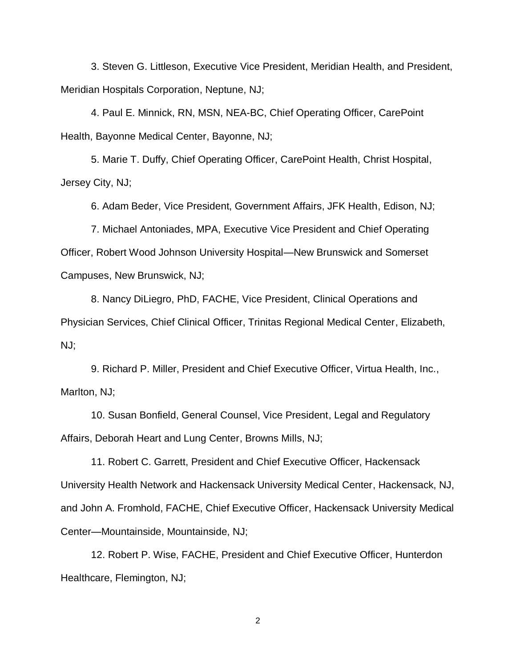3. Steven G. Littleson, Executive Vice President, Meridian Health, and President, Meridian Hospitals Corporation, Neptune, NJ;

4. Paul E. Minnick, RN, MSN, NEA-BC, Chief Operating Officer, CarePoint Health, Bayonne Medical Center, Bayonne, NJ;

5. Marie T. Duffy, Chief Operating Officer, CarePoint Health, Christ Hospital, Jersey City, NJ;

6. Adam Beder, Vice President, Government Affairs, JFK Health, Edison, NJ;

7. Michael Antoniades, MPA, Executive Vice President and Chief Operating Officer, Robert Wood Johnson University Hospital—New Brunswick and Somerset Campuses, New Brunswick, NJ;

8. Nancy DiLiegro, PhD, FACHE, Vice President, Clinical Operations and Physician Services, Chief Clinical Officer, Trinitas Regional Medical Center, Elizabeth, NJ;

9. Richard P. Miller, President and Chief Executive Officer, Virtua Health, Inc., Marlton, NJ;

10. Susan Bonfield, General Counsel, Vice President, Legal and Regulatory Affairs, Deborah Heart and Lung Center, Browns Mills, NJ;

11. Robert C. Garrett, President and Chief Executive Officer, Hackensack University Health Network and Hackensack University Medical Center, Hackensack, NJ, and John A. Fromhold, FACHE, Chief Executive Officer, Hackensack University Medical Center—Mountainside, Mountainside, NJ;

12. Robert P. Wise, FACHE, President and Chief Executive Officer, Hunterdon Healthcare, Flemington, NJ;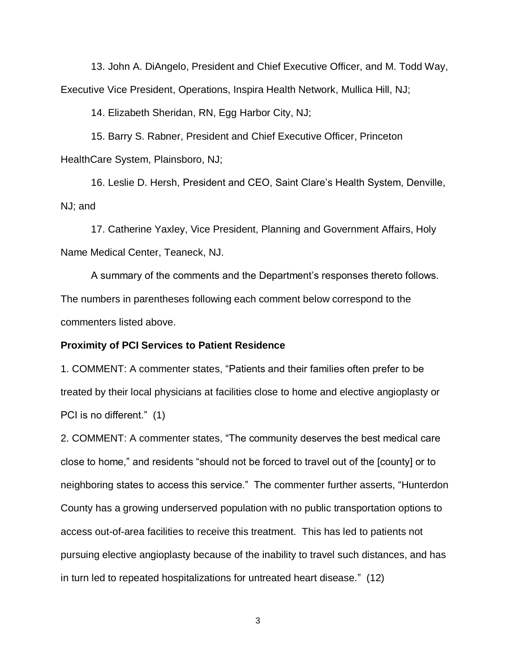13. John A. DiAngelo, President and Chief Executive Officer, and M. Todd Way, Executive Vice President, Operations, Inspira Health Network, Mullica Hill, NJ;

14. Elizabeth Sheridan, RN, Egg Harbor City, NJ;

15. Barry S. Rabner, President and Chief Executive Officer, Princeton HealthCare System, Plainsboro, NJ;

16. Leslie D. Hersh, President and CEO, Saint Clare's Health System, Denville, NJ; and

17. Catherine Yaxley, Vice President, Planning and Government Affairs, Holy Name Medical Center, Teaneck, NJ.

A summary of the comments and the Department's responses thereto follows. The numbers in parentheses following each comment below correspond to the commenters listed above.

#### **Proximity of PCI Services to Patient Residence**

1. COMMENT: A commenter states, "Patients and their families often prefer to be treated by their local physicians at facilities close to home and elective angioplasty or PCI is no different." (1)

2. COMMENT: A commenter states, "The community deserves the best medical care close to home," and residents "should not be forced to travel out of the [county] or to neighboring states to access this service." The commenter further asserts, "Hunterdon County has a growing underserved population with no public transportation options to access out-of-area facilities to receive this treatment. This has led to patients not pursuing elective angioplasty because of the inability to travel such distances, and has in turn led to repeated hospitalizations for untreated heart disease." (12)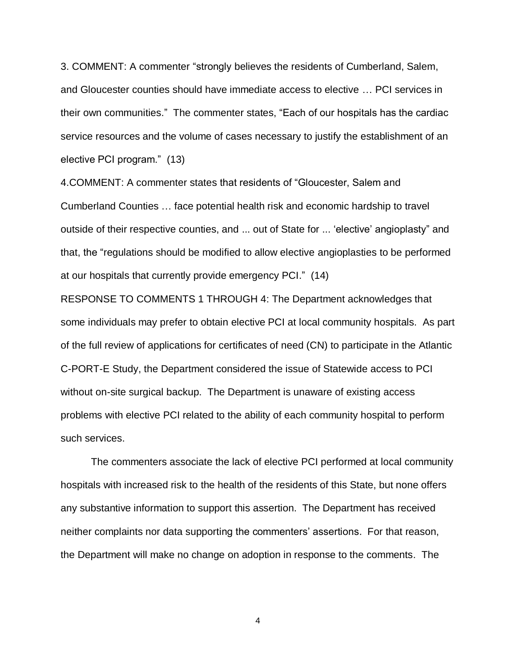3. COMMENT: A commenter "strongly believes the residents of Cumberland, Salem, and Gloucester counties should have immediate access to elective … PCI services in their own communities." The commenter states, "Each of our hospitals has the cardiac service resources and the volume of cases necessary to justify the establishment of an elective PCI program." (13)

4.COMMENT: A commenter states that residents of "Gloucester, Salem and Cumberland Counties … face potential health risk and economic hardship to travel outside of their respective counties, and ... out of State for ... 'elective' angioplasty" and that, the "regulations should be modified to allow elective angioplasties to be performed at our hospitals that currently provide emergency PCI." (14)

RESPONSE TO COMMENTS 1 THROUGH 4: The Department acknowledges that some individuals may prefer to obtain elective PCI at local community hospitals. As part of the full review of applications for certificates of need (CN) to participate in the Atlantic C-PORT-E Study, the Department considered the issue of Statewide access to PCI without on-site surgical backup. The Department is unaware of existing access problems with elective PCI related to the ability of each community hospital to perform such services.

The commenters associate the lack of elective PCI performed at local community hospitals with increased risk to the health of the residents of this State, but none offers any substantive information to support this assertion. The Department has received neither complaints nor data supporting the commenters' assertions. For that reason, the Department will make no change on adoption in response to the comments. The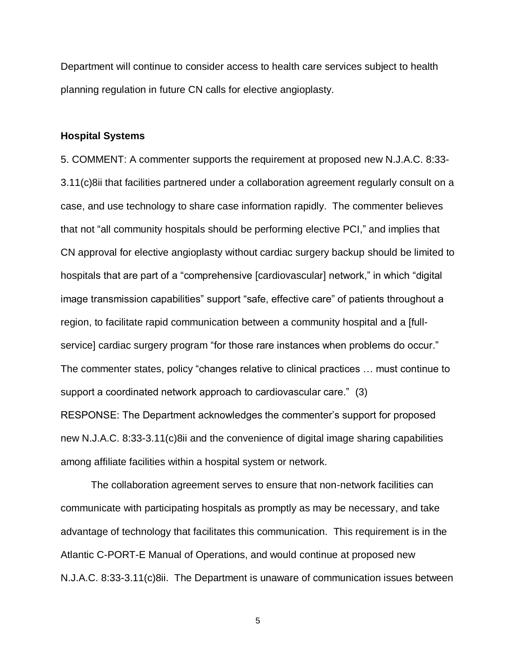Department will continue to consider access to health care services subject to health planning regulation in future CN calls for elective angioplasty.

#### **Hospital Systems**

5. COMMENT: A commenter supports the requirement at proposed new N.J.A.C. 8:33- 3.11(c)8ii that facilities partnered under a collaboration agreement regularly consult on a case, and use technology to share case information rapidly. The commenter believes that not "all community hospitals should be performing elective PCI," and implies that CN approval for elective angioplasty without cardiac surgery backup should be limited to hospitals that are part of a "comprehensive [cardiovascular] network," in which "digital image transmission capabilities" support "safe, effective care" of patients throughout a region, to facilitate rapid communication between a community hospital and a [fullservice] cardiac surgery program "for those rare instances when problems do occur." The commenter states, policy "changes relative to clinical practices … must continue to support a coordinated network approach to cardiovascular care." (3) RESPONSE: The Department acknowledges the commenter's support for proposed new N.J.A.C. 8:33-3.11(c)8ii and the convenience of digital image sharing capabilities among affiliate facilities within a hospital system or network.

The collaboration agreement serves to ensure that non-network facilities can communicate with participating hospitals as promptly as may be necessary, and take advantage of technology that facilitates this communication. This requirement is in the Atlantic C-PORT-E Manual of Operations, and would continue at proposed new N.J.A.C. 8:33-3.11(c)8ii. The Department is unaware of communication issues between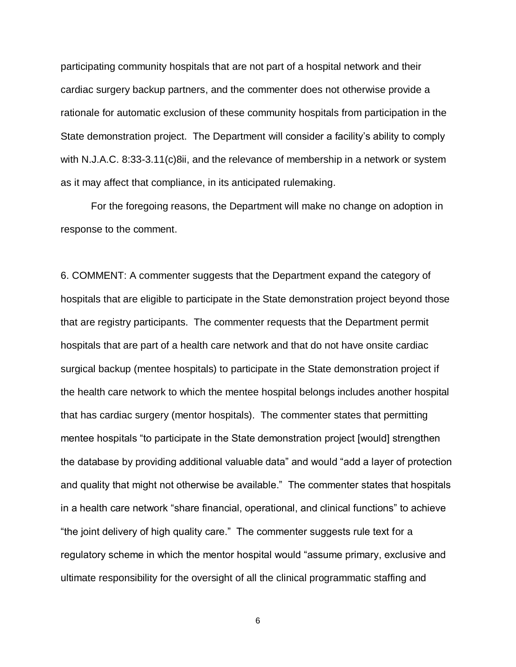participating community hospitals that are not part of a hospital network and their cardiac surgery backup partners, and the commenter does not otherwise provide a rationale for automatic exclusion of these community hospitals from participation in the State demonstration project. The Department will consider a facility's ability to comply with N.J.A.C. 8:33-3.11(c)8ii, and the relevance of membership in a network or system as it may affect that compliance, in its anticipated rulemaking.

For the foregoing reasons, the Department will make no change on adoption in response to the comment.

6. COMMENT: A commenter suggests that the Department expand the category of hospitals that are eligible to participate in the State demonstration project beyond those that are registry participants. The commenter requests that the Department permit hospitals that are part of a health care network and that do not have onsite cardiac surgical backup (mentee hospitals) to participate in the State demonstration project if the health care network to which the mentee hospital belongs includes another hospital that has cardiac surgery (mentor hospitals). The commenter states that permitting mentee hospitals "to participate in the State demonstration project [would] strengthen the database by providing additional valuable data" and would "add a layer of protection and quality that might not otherwise be available." The commenter states that hospitals in a health care network "share financial, operational, and clinical functions" to achieve "the joint delivery of high quality care." The commenter suggests rule text for a regulatory scheme in which the mentor hospital would "assume primary, exclusive and ultimate responsibility for the oversight of all the clinical programmatic staffing and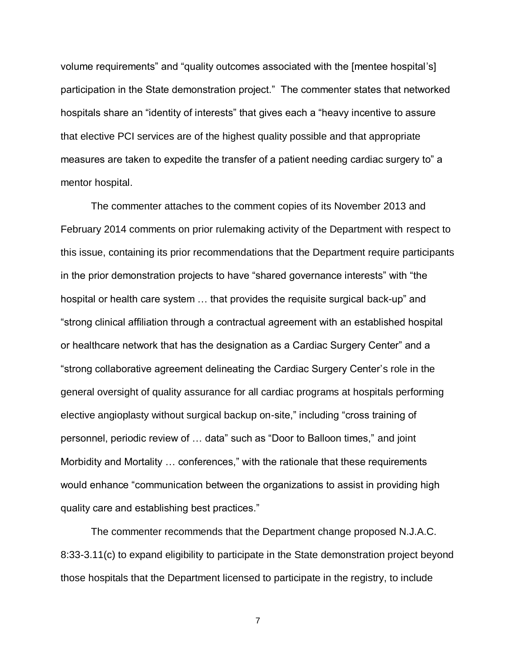volume requirements" and "quality outcomes associated with the [mentee hospital's] participation in the State demonstration project." The commenter states that networked hospitals share an "identity of interests" that gives each a "heavy incentive to assure that elective PCI services are of the highest quality possible and that appropriate measures are taken to expedite the transfer of a patient needing cardiac surgery to" a mentor hospital.

The commenter attaches to the comment copies of its November 2013 and February 2014 comments on prior rulemaking activity of the Department with respect to this issue, containing its prior recommendations that the Department require participants in the prior demonstration projects to have "shared governance interests" with "the hospital or health care system … that provides the requisite surgical back-up" and "strong clinical affiliation through a contractual agreement with an established hospital or healthcare network that has the designation as a Cardiac Surgery Center" and a "strong collaborative agreement delineating the Cardiac Surgery Center's role in the general oversight of quality assurance for all cardiac programs at hospitals performing elective angioplasty without surgical backup on-site," including "cross training of personnel, periodic review of … data" such as "Door to Balloon times," and joint Morbidity and Mortality … conferences," with the rationale that these requirements would enhance "communication between the organizations to assist in providing high quality care and establishing best practices."

The commenter recommends that the Department change proposed N.J.A.C. 8:33-3.11(c) to expand eligibility to participate in the State demonstration project beyond those hospitals that the Department licensed to participate in the registry, to include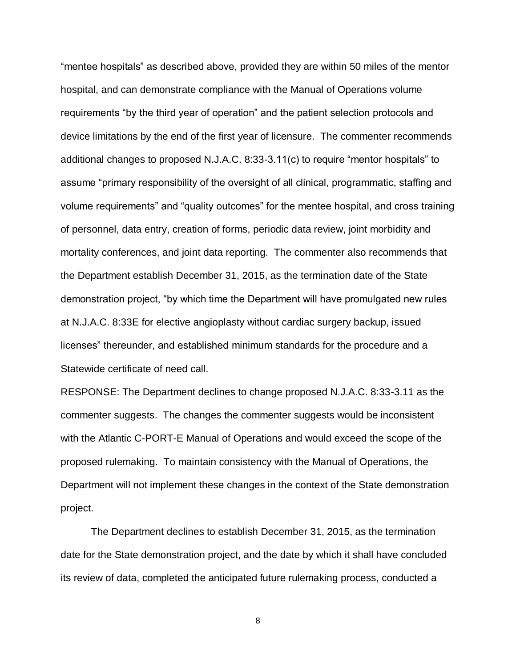"mentee hospitals" as described above, provided they are within 50 miles of the mentor hospital, and can demonstrate compliance with the Manual of Operations volume requirements "by the third year of operation" and the patient selection protocols and device limitations by the end of the first year of licensure. The commenter recommends additional changes to proposed N.J.A.C. 8:33-3.11(c) to require "mentor hospitals" to assume "primary responsibility of the oversight of all clinical, programmatic, staffing and volume requirements" and "quality outcomes" for the mentee hospital, and cross training of personnel, data entry, creation of forms, periodic data review, joint morbidity and mortality conferences, and joint data reporting. The commenter also recommends that the Department establish December 31, 2015, as the termination date of the State demonstration project, "by which time the Department will have promulgated new rules at N.J.A.C. 8:33E for elective angioplasty without cardiac surgery backup, issued licenses" thereunder, and established minimum standards for the procedure and a Statewide certificate of need call.

RESPONSE: The Department declines to change proposed N.J.A.C. 8:33-3.11 as the commenter suggests. The changes the commenter suggests would be inconsistent with the Atlantic C-PORT-E Manual of Operations and would exceed the scope of the proposed rulemaking. To maintain consistency with the Manual of Operations, the Department will not implement these changes in the context of the State demonstration project.

The Department declines to establish December 31, 2015, as the termination date for the State demonstration project, and the date by which it shall have concluded its review of data, completed the anticipated future rulemaking process, conducted a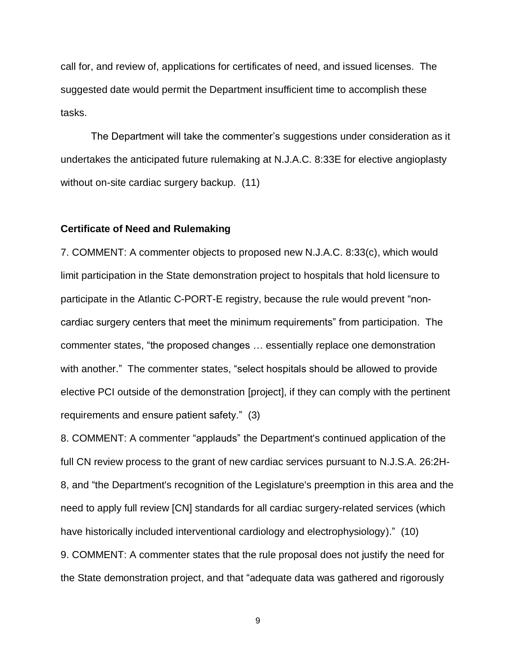call for, and review of, applications for certificates of need, and issued licenses. The suggested date would permit the Department insufficient time to accomplish these tasks.

The Department will take the commenter's suggestions under consideration as it undertakes the anticipated future rulemaking at N.J.A.C. 8:33E for elective angioplasty without on-site cardiac surgery backup. (11)

## **Certificate of Need and Rulemaking**

7. COMMENT: A commenter objects to proposed new N.J.A.C. 8:33(c), which would limit participation in the State demonstration project to hospitals that hold licensure to participate in the Atlantic C-PORT-E registry, because the rule would prevent "noncardiac surgery centers that meet the minimum requirements" from participation. The commenter states, "the proposed changes … essentially replace one demonstration with another." The commenter states, "select hospitals should be allowed to provide elective PCI outside of the demonstration [project], if they can comply with the pertinent requirements and ensure patient safety." (3)

8. COMMENT: A commenter "applauds" the Department's continued application of the full CN review process to the grant of new cardiac services pursuant to N.J.S.A. 26:2H-8, and "the Department's recognition of the Legislature's preemption in this area and the need to apply full review [CN] standards for all cardiac surgery-related services (which have historically included interventional cardiology and electrophysiology)." (10)

9. COMMENT: A commenter states that the rule proposal does not justify the need for the State demonstration project, and that "adequate data was gathered and rigorously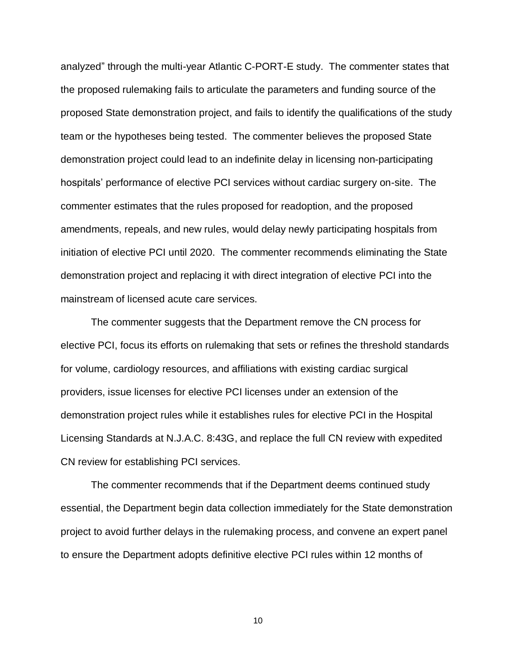analyzed" through the multi-year Atlantic C-PORT-E study. The commenter states that the proposed rulemaking fails to articulate the parameters and funding source of the proposed State demonstration project, and fails to identify the qualifications of the study team or the hypotheses being tested. The commenter believes the proposed State demonstration project could lead to an indefinite delay in licensing non-participating hospitals' performance of elective PCI services without cardiac surgery on-site. The commenter estimates that the rules proposed for readoption, and the proposed amendments, repeals, and new rules, would delay newly participating hospitals from initiation of elective PCI until 2020. The commenter recommends eliminating the State demonstration project and replacing it with direct integration of elective PCI into the mainstream of licensed acute care services.

The commenter suggests that the Department remove the CN process for elective PCI, focus its efforts on rulemaking that sets or refines the threshold standards for volume, cardiology resources, and affiliations with existing cardiac surgical providers, issue licenses for elective PCI licenses under an extension of the demonstration project rules while it establishes rules for elective PCI in the Hospital Licensing Standards at N.J.A.C. 8:43G, and replace the full CN review with expedited CN review for establishing PCI services.

The commenter recommends that if the Department deems continued study essential, the Department begin data collection immediately for the State demonstration project to avoid further delays in the rulemaking process, and convene an expert panel to ensure the Department adopts definitive elective PCI rules within 12 months of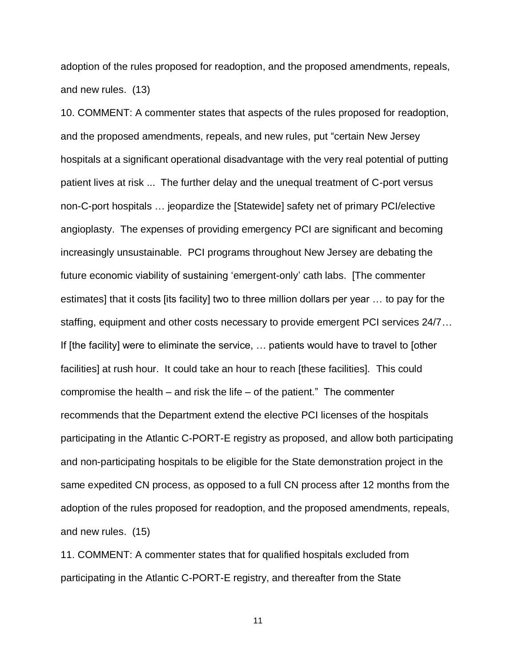adoption of the rules proposed for readoption, and the proposed amendments, repeals, and new rules. (13)

10. COMMENT: A commenter states that aspects of the rules proposed for readoption, and the proposed amendments, repeals, and new rules, put "certain New Jersey hospitals at a significant operational disadvantage with the very real potential of putting patient lives at risk ... The further delay and the unequal treatment of C-port versus non-C-port hospitals … jeopardize the [Statewide] safety net of primary PCI/elective angioplasty. The expenses of providing emergency PCI are significant and becoming increasingly unsustainable. PCI programs throughout New Jersey are debating the future economic viability of sustaining 'emergent-only' cath labs. [The commenter estimates] that it costs [its facility] two to three million dollars per year … to pay for the staffing, equipment and other costs necessary to provide emergent PCI services 24/7… If [the facility] were to eliminate the service, … patients would have to travel to [other facilities] at rush hour. It could take an hour to reach [these facilities]. This could compromise the health – and risk the life – of the patient." The commenter recommends that the Department extend the elective PCI licenses of the hospitals participating in the Atlantic C-PORT-E registry as proposed, and allow both participating and non-participating hospitals to be eligible for the State demonstration project in the same expedited CN process, as opposed to a full CN process after 12 months from the adoption of the rules proposed for readoption, and the proposed amendments, repeals, and new rules. (15)

11. COMMENT: A commenter states that for qualified hospitals excluded from participating in the Atlantic C-PORT-E registry, and thereafter from the State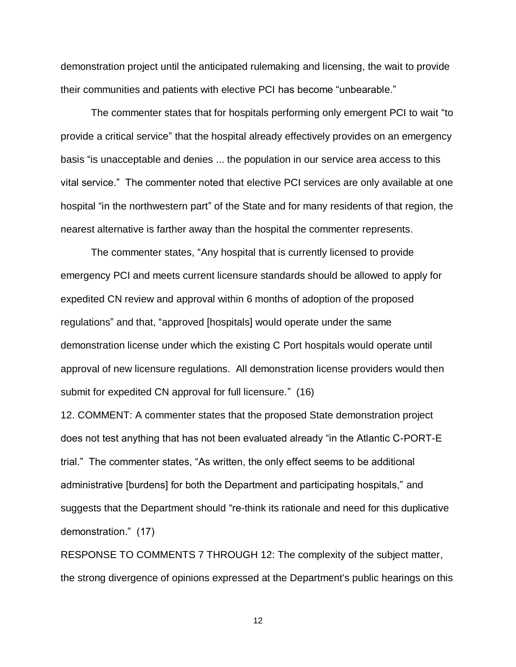demonstration project until the anticipated rulemaking and licensing, the wait to provide their communities and patients with elective PCI has become "unbearable."

The commenter states that for hospitals performing only emergent PCI to wait "to provide a critical service" that the hospital already effectively provides on an emergency basis "is unacceptable and denies ... the population in our service area access to this vital service." The commenter noted that elective PCI services are only available at one hospital "in the northwestern part" of the State and for many residents of that region, the nearest alternative is farther away than the hospital the commenter represents.

The commenter states, "Any hospital that is currently licensed to provide emergency PCI and meets current licensure standards should be allowed to apply for expedited CN review and approval within 6 months of adoption of the proposed regulations" and that, "approved [hospitals] would operate under the same demonstration license under which the existing C Port hospitals would operate until approval of new licensure regulations. All demonstration license providers would then submit for expedited CN approval for full licensure." (16)

12. COMMENT: A commenter states that the proposed State demonstration project does not test anything that has not been evaluated already "in the Atlantic C-PORT-E trial." The commenter states, "As written, the only effect seems to be additional administrative [burdens] for both the Department and participating hospitals," and suggests that the Department should "re-think its rationale and need for this duplicative demonstration." (17)

RESPONSE TO COMMENTS 7 THROUGH 12: The complexity of the subject matter, the strong divergence of opinions expressed at the Department's public hearings on this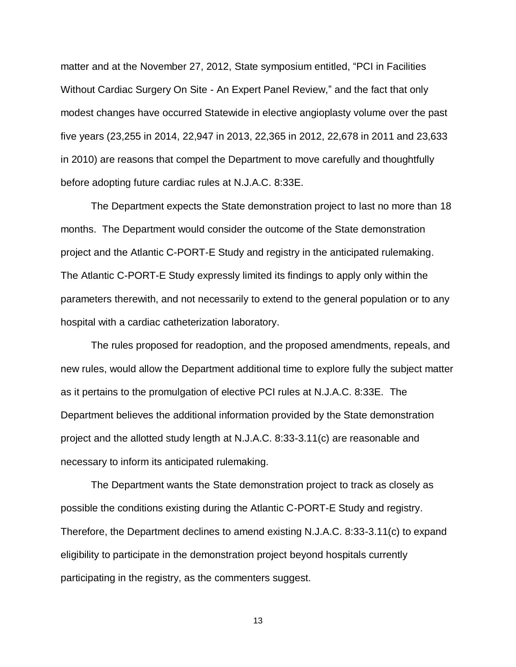matter and at the November 27, 2012, State symposium entitled, "PCI in Facilities Without Cardiac Surgery On Site - An Expert Panel Review," and the fact that only modest changes have occurred Statewide in elective angioplasty volume over the past five years (23,255 in 2014, 22,947 in 2013, 22,365 in 2012, 22,678 in 2011 and 23,633 in 2010) are reasons that compel the Department to move carefully and thoughtfully before adopting future cardiac rules at N.J.A.C. 8:33E.

The Department expects the State demonstration project to last no more than 18 months. The Department would consider the outcome of the State demonstration project and the Atlantic C-PORT-E Study and registry in the anticipated rulemaking. The Atlantic C-PORT-E Study expressly limited its findings to apply only within the parameters therewith, and not necessarily to extend to the general population or to any hospital with a cardiac catheterization laboratory.

The rules proposed for readoption, and the proposed amendments, repeals, and new rules, would allow the Department additional time to explore fully the subject matter as it pertains to the promulgation of elective PCI rules at N.J.A.C. 8:33E. The Department believes the additional information provided by the State demonstration project and the allotted study length at N.J.A.C. 8:33-3.11(c) are reasonable and necessary to inform its anticipated rulemaking.

The Department wants the State demonstration project to track as closely as possible the conditions existing during the Atlantic C-PORT-E Study and registry. Therefore, the Department declines to amend existing N.J.A.C. 8:33-3.11(c) to expand eligibility to participate in the demonstration project beyond hospitals currently participating in the registry, as the commenters suggest.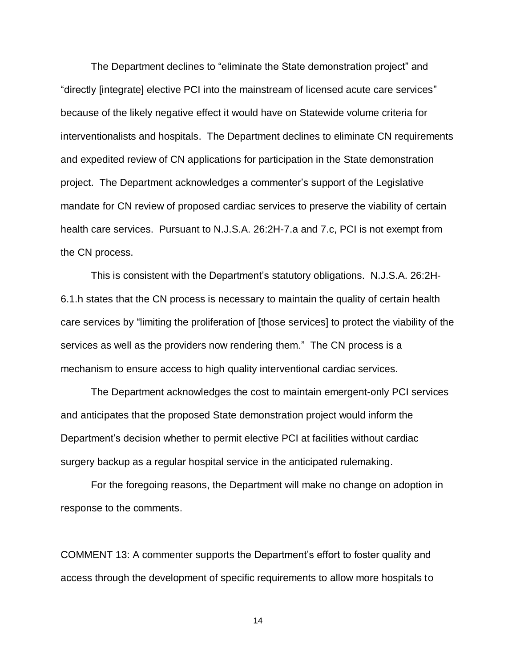The Department declines to "eliminate the State demonstration project" and "directly [integrate] elective PCI into the mainstream of licensed acute care services" because of the likely negative effect it would have on Statewide volume criteria for interventionalists and hospitals. The Department declines to eliminate CN requirements and expedited review of CN applications for participation in the State demonstration project. The Department acknowledges a commenter's support of the Legislative mandate for CN review of proposed cardiac services to preserve the viability of certain health care services. Pursuant to N.J.S.A. 26:2H-7.a and 7.c, PCI is not exempt from the CN process.

This is consistent with the Department's statutory obligations. N.J.S.A. 26:2H-6.1.h states that the CN process is necessary to maintain the quality of certain health care services by "limiting the proliferation of [those services] to protect the viability of the services as well as the providers now rendering them." The CN process is a mechanism to ensure access to high quality interventional cardiac services.

The Department acknowledges the cost to maintain emergent-only PCI services and anticipates that the proposed State demonstration project would inform the Department's decision whether to permit elective PCI at facilities without cardiac surgery backup as a regular hospital service in the anticipated rulemaking.

For the foregoing reasons, the Department will make no change on adoption in response to the comments.

COMMENT 13: A commenter supports the Department's effort to foster quality and access through the development of specific requirements to allow more hospitals to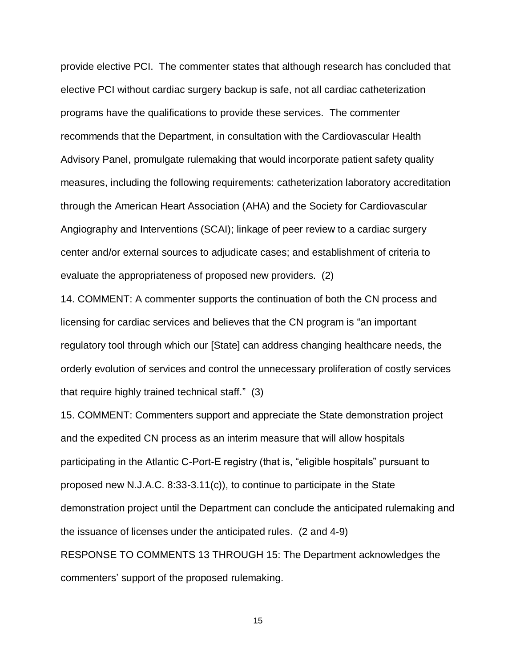provide elective PCI. The commenter states that although research has concluded that elective PCI without cardiac surgery backup is safe, not all cardiac catheterization programs have the qualifications to provide these services. The commenter recommends that the Department, in consultation with the Cardiovascular Health Advisory Panel, promulgate rulemaking that would incorporate patient safety quality measures, including the following requirements: catheterization laboratory accreditation through the American Heart Association (AHA) and the Society for Cardiovascular Angiography and Interventions (SCAI); linkage of peer review to a cardiac surgery center and/or external sources to adjudicate cases; and establishment of criteria to evaluate the appropriateness of proposed new providers. (2)

14. COMMENT: A commenter supports the continuation of both the CN process and licensing for cardiac services and believes that the CN program is "an important regulatory tool through which our [State] can address changing healthcare needs, the orderly evolution of services and control the unnecessary proliferation of costly services that require highly trained technical staff." (3)

15. COMMENT: Commenters support and appreciate the State demonstration project and the expedited CN process as an interim measure that will allow hospitals participating in the Atlantic C-Port-E registry (that is, "eligible hospitals" pursuant to proposed new N.J.A.C. 8:33-3.11(c)), to continue to participate in the State demonstration project until the Department can conclude the anticipated rulemaking and the issuance of licenses under the anticipated rules. (2 and 4-9) RESPONSE TO COMMENTS 13 THROUGH 15: The Department acknowledges the commenters' support of the proposed rulemaking.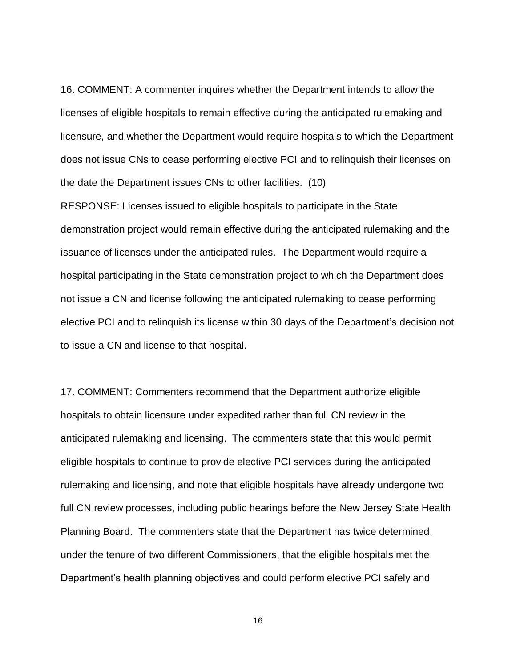16. COMMENT: A commenter inquires whether the Department intends to allow the licenses of eligible hospitals to remain effective during the anticipated rulemaking and licensure, and whether the Department would require hospitals to which the Department does not issue CNs to cease performing elective PCI and to relinquish their licenses on the date the Department issues CNs to other facilities. (10)

RESPONSE: Licenses issued to eligible hospitals to participate in the State demonstration project would remain effective during the anticipated rulemaking and the issuance of licenses under the anticipated rules. The Department would require a hospital participating in the State demonstration project to which the Department does not issue a CN and license following the anticipated rulemaking to cease performing elective PCI and to relinquish its license within 30 days of the Department's decision not to issue a CN and license to that hospital.

17. COMMENT: Commenters recommend that the Department authorize eligible hospitals to obtain licensure under expedited rather than full CN review in the anticipated rulemaking and licensing. The commenters state that this would permit eligible hospitals to continue to provide elective PCI services during the anticipated rulemaking and licensing, and note that eligible hospitals have already undergone two full CN review processes, including public hearings before the New Jersey State Health Planning Board. The commenters state that the Department has twice determined, under the tenure of two different Commissioners, that the eligible hospitals met the Department's health planning objectives and could perform elective PCI safely and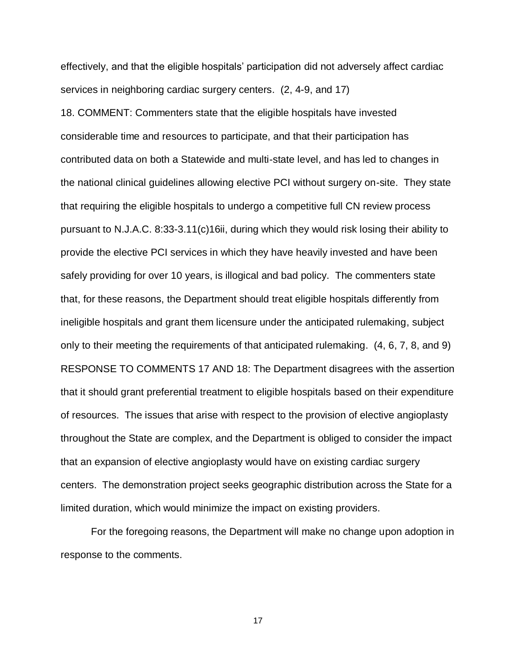effectively, and that the eligible hospitals' participation did not adversely affect cardiac services in neighboring cardiac surgery centers. (2, 4-9, and 17)

18. COMMENT: Commenters state that the eligible hospitals have invested considerable time and resources to participate, and that their participation has contributed data on both a Statewide and multi-state level, and has led to changes in the national clinical guidelines allowing elective PCI without surgery on-site. They state that requiring the eligible hospitals to undergo a competitive full CN review process pursuant to N.J.A.C. 8:33-3.11(c)16ii, during which they would risk losing their ability to provide the elective PCI services in which they have heavily invested and have been safely providing for over 10 years, is illogical and bad policy. The commenters state that, for these reasons, the Department should treat eligible hospitals differently from ineligible hospitals and grant them licensure under the anticipated rulemaking, subject only to their meeting the requirements of that anticipated rulemaking. (4, 6, 7, 8, and 9) RESPONSE TO COMMENTS 17 AND 18: The Department disagrees with the assertion that it should grant preferential treatment to eligible hospitals based on their expenditure of resources. The issues that arise with respect to the provision of elective angioplasty throughout the State are complex, and the Department is obliged to consider the impact that an expansion of elective angioplasty would have on existing cardiac surgery centers. The demonstration project seeks geographic distribution across the State for a limited duration, which would minimize the impact on existing providers.

For the foregoing reasons, the Department will make no change upon adoption in response to the comments.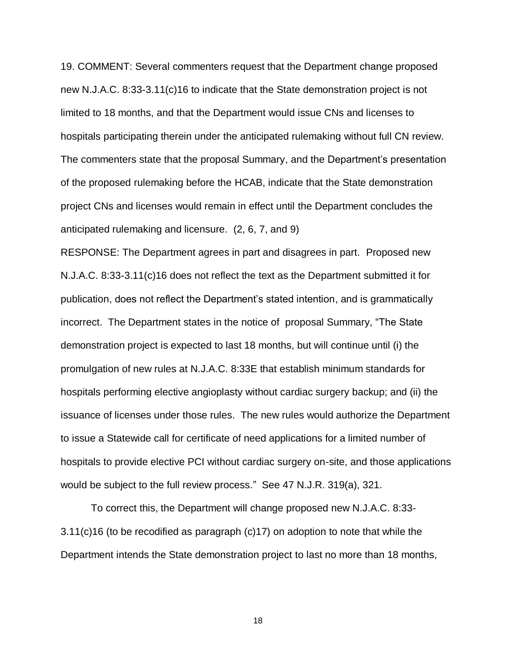19. COMMENT: Several commenters request that the Department change proposed new N.J.A.C. 8:33-3.11(c)16 to indicate that the State demonstration project is not limited to 18 months, and that the Department would issue CNs and licenses to hospitals participating therein under the anticipated rulemaking without full CN review. The commenters state that the proposal Summary, and the Department's presentation of the proposed rulemaking before the HCAB, indicate that the State demonstration project CNs and licenses would remain in effect until the Department concludes the anticipated rulemaking and licensure. (2, 6, 7, and 9)

RESPONSE: The Department agrees in part and disagrees in part. Proposed new N.J.A.C. 8:33-3.11(c)16 does not reflect the text as the Department submitted it for publication, does not reflect the Department's stated intention, and is grammatically incorrect. The Department states in the notice of proposal Summary, "The State demonstration project is expected to last 18 months, but will continue until (i) the promulgation of new rules at N.J.A.C. 8:33E that establish minimum standards for hospitals performing elective angioplasty without cardiac surgery backup; and (ii) the issuance of licenses under those rules. The new rules would authorize the Department to issue a Statewide call for certificate of need applications for a limited number of hospitals to provide elective PCI without cardiac surgery on-site, and those applications would be subject to the full review process." See 47 N.J.R. 319(a), 321.

To correct this, the Department will change proposed new N.J.A.C. 8:33- 3.11(c)16 (to be recodified as paragraph (c)17) on adoption to note that while the Department intends the State demonstration project to last no more than 18 months,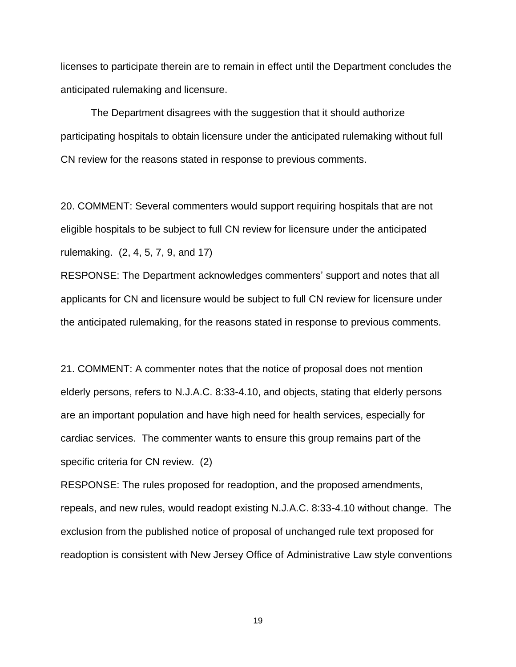licenses to participate therein are to remain in effect until the Department concludes the anticipated rulemaking and licensure.

The Department disagrees with the suggestion that it should authorize participating hospitals to obtain licensure under the anticipated rulemaking without full CN review for the reasons stated in response to previous comments.

20. COMMENT: Several commenters would support requiring hospitals that are not eligible hospitals to be subject to full CN review for licensure under the anticipated rulemaking. (2, 4, 5, 7, 9, and 17)

RESPONSE: The Department acknowledges commenters' support and notes that all applicants for CN and licensure would be subject to full CN review for licensure under the anticipated rulemaking, for the reasons stated in response to previous comments.

21. COMMENT: A commenter notes that the notice of proposal does not mention elderly persons, refers to N.J.A.C. 8:33-4.10, and objects, stating that elderly persons are an important population and have high need for health services, especially for cardiac services. The commenter wants to ensure this group remains part of the specific criteria for CN review. (2)

RESPONSE: The rules proposed for readoption, and the proposed amendments, repeals, and new rules, would readopt existing N.J.A.C. 8:33-4.10 without change. The exclusion from the published notice of proposal of unchanged rule text proposed for readoption is consistent with New Jersey Office of Administrative Law style conventions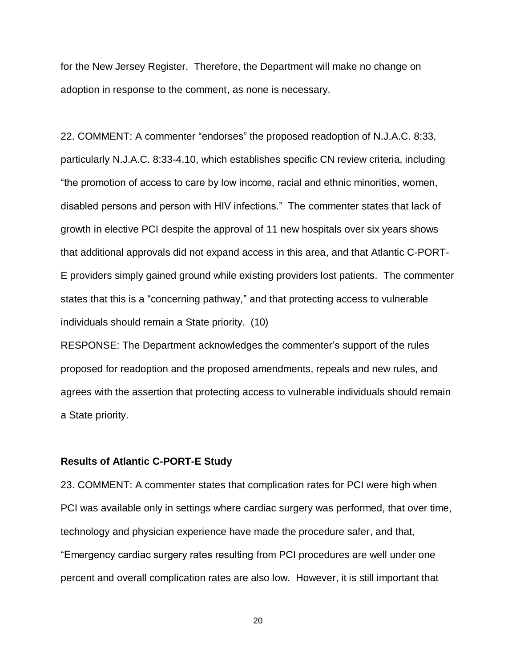for the New Jersey Register. Therefore, the Department will make no change on adoption in response to the comment, as none is necessary.

22. COMMENT: A commenter "endorses" the proposed readoption of N.J.A.C. 8:33, particularly N.J.A.C. 8:33-4.10, which establishes specific CN review criteria, including "the promotion of access to care by low income, racial and ethnic minorities, women, disabled persons and person with HIV infections." The commenter states that lack of growth in elective PCI despite the approval of 11 new hospitals over six years shows that additional approvals did not expand access in this area, and that Atlantic C-PORT-E providers simply gained ground while existing providers lost patients. The commenter states that this is a "concerning pathway," and that protecting access to vulnerable individuals should remain a State priority. (10)

RESPONSE: The Department acknowledges the commenter's support of the rules proposed for readoption and the proposed amendments, repeals and new rules, and agrees with the assertion that protecting access to vulnerable individuals should remain a State priority.

## **Results of Atlantic C-PORT-E Study**

23. COMMENT: A commenter states that complication rates for PCI were high when PCI was available only in settings where cardiac surgery was performed, that over time, technology and physician experience have made the procedure safer, and that, "Emergency cardiac surgery rates resulting from PCI procedures are well under one percent and overall complication rates are also low. However, it is still important that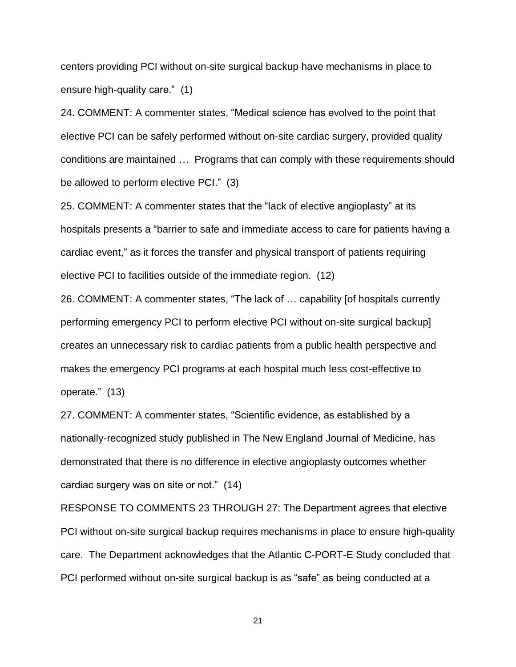centers providing PCI without on-site surgical backup have mechanisms in place to ensure high-quality care." (1)

24. COMMENT: A commenter states, "Medical science has evolved to the point that elective PCI can be safely performed without on-site cardiac surgery, provided quality conditions are maintained … Programs that can comply with these requirements should be allowed to perform elective PCI." (3)

25. COMMENT: A commenter states that the "lack of elective angioplasty" at its hospitals presents a "barrier to safe and immediate access to care for patients having a cardiac event," as it forces the transfer and physical transport of patients requiring elective PCI to facilities outside of the immediate region. (12)

26. COMMENT: A commenter states, "The lack of … capability [of hospitals currently performing emergency PCI to perform elective PCI without on-site surgical backup] creates an unnecessary risk to cardiac patients from a public health perspective and makes the emergency PCI programs at each hospital much less cost-effective to operate." (13)

27. COMMENT: A commenter states, "Scientific evidence, as established by a nationally-recognized study published in The New England Journal of Medicine, has demonstrated that there is no difference in elective angioplasty outcomes whether cardiac surgery was on site or not." (14)

RESPONSE TO COMMENTS 23 THROUGH 27: The Department agrees that elective PCI without on-site surgical backup requires mechanisms in place to ensure high-quality care. The Department acknowledges that the Atlantic C-PORT-E Study concluded that PCI performed without on-site surgical backup is as "safe" as being conducted at a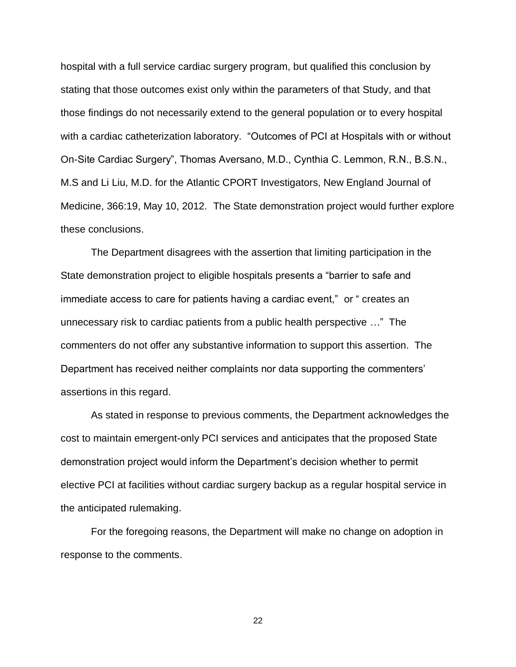hospital with a full service cardiac surgery program, but qualified this conclusion by stating that those outcomes exist only within the parameters of that Study, and that those findings do not necessarily extend to the general population or to every hospital with a cardiac catheterization laboratory. "Outcomes of PCI at Hospitals with or without On-Site Cardiac Surgery", Thomas Aversano, M.D., Cynthia C. Lemmon, R.N., B.S.N., M.S and Li Liu, M.D. for the Atlantic CPORT Investigators, New England Journal of Medicine, 366:19, May 10, 2012. The State demonstration project would further explore these conclusions.

The Department disagrees with the assertion that limiting participation in the State demonstration project to eligible hospitals presents a "barrier to safe and immediate access to care for patients having a cardiac event," or " creates an unnecessary risk to cardiac patients from a public health perspective …" The commenters do not offer any substantive information to support this assertion. The Department has received neither complaints nor data supporting the commenters' assertions in this regard.

As stated in response to previous comments, the Department acknowledges the cost to maintain emergent-only PCI services and anticipates that the proposed State demonstration project would inform the Department's decision whether to permit elective PCI at facilities without cardiac surgery backup as a regular hospital service in the anticipated rulemaking.

For the foregoing reasons, the Department will make no change on adoption in response to the comments.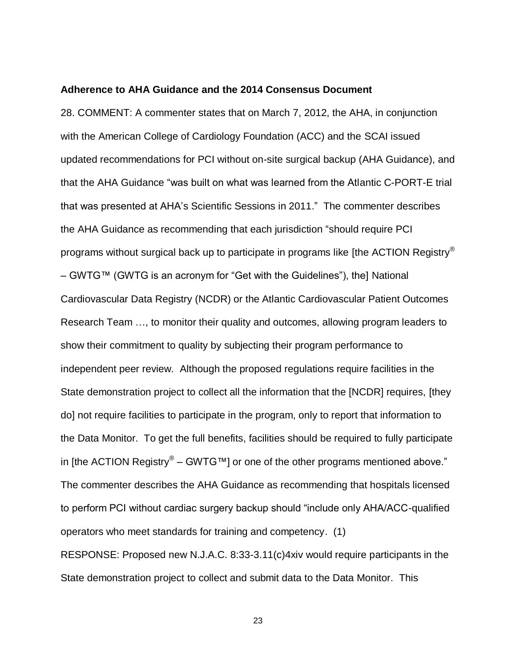#### **Adherence to AHA Guidance and the 2014 Consensus Document**

28. COMMENT: A commenter states that on March 7, 2012, the AHA, in conjunction with the American College of Cardiology Foundation (ACC) and the SCAI issued updated recommendations for PCI without on-site surgical backup (AHA Guidance), and that the AHA Guidance "was built on what was learned from the Atlantic C-PORT-E trial that was presented at AHA's Scientific Sessions in 2011." The commenter describes the AHA Guidance as recommending that each jurisdiction "should require PCI programs without surgical back up to participate in programs like [the ACTION Registry® – GWTG™ (GWTG is an acronym for "Get with the Guidelines"), the] National Cardiovascular Data Registry (NCDR) or the Atlantic Cardiovascular Patient Outcomes Research Team …, to monitor their quality and outcomes, allowing program leaders to show their commitment to quality by subjecting their program performance to independent peer review. Although the proposed regulations require facilities in the State demonstration project to collect all the information that the [NCDR] requires, [they do] not require facilities to participate in the program, only to report that information to the Data Monitor. To get the full benefits, facilities should be required to fully participate in [the ACTION Registry® – GWTG™] or one of the other programs mentioned above." The commenter describes the AHA Guidance as recommending that hospitals licensed to perform PCI without cardiac surgery backup should "include only AHA/ACC-qualified operators who meet standards for training and competency. (1) RESPONSE: Proposed new N.J.A.C. 8:33-3.11(c)4xiv would require participants in the State demonstration project to collect and submit data to the Data Monitor. This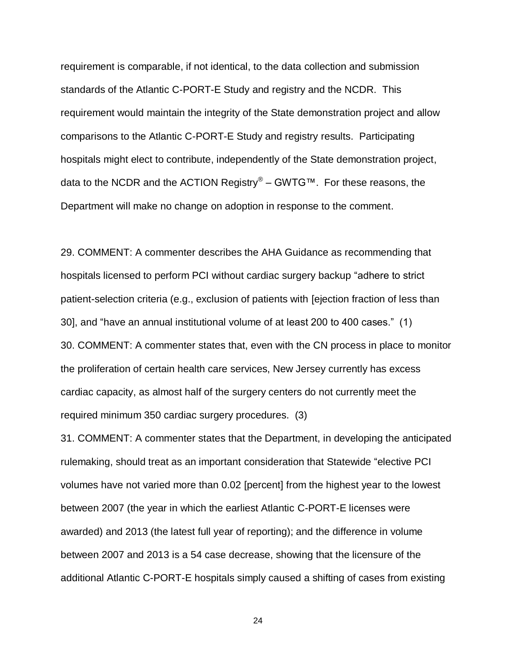requirement is comparable, if not identical, to the data collection and submission standards of the Atlantic C-PORT-E Study and registry and the NCDR. This requirement would maintain the integrity of the State demonstration project and allow comparisons to the Atlantic C-PORT-E Study and registry results. Participating hospitals might elect to contribute, independently of the State demonstration project, data to the NCDR and the ACTION Registry® – GWTG™. For these reasons, the Department will make no change on adoption in response to the comment.

29. COMMENT: A commenter describes the AHA Guidance as recommending that hospitals licensed to perform PCI without cardiac surgery backup "adhere to strict patient-selection criteria (e.g., exclusion of patients with [ejection fraction of less than 30], and "have an annual institutional volume of at least 200 to 400 cases." (1) 30. COMMENT: A commenter states that, even with the CN process in place to monitor the proliferation of certain health care services, New Jersey currently has excess cardiac capacity, as almost half of the surgery centers do not currently meet the required minimum 350 cardiac surgery procedures. (3)

31. COMMENT: A commenter states that the Department, in developing the anticipated rulemaking, should treat as an important consideration that Statewide "elective PCI volumes have not varied more than 0.02 [percent] from the highest year to the lowest between 2007 (the year in which the earliest Atlantic C-PORT-E licenses were awarded) and 2013 (the latest full year of reporting); and the difference in volume between 2007 and 2013 is a 54 case decrease, showing that the licensure of the additional Atlantic C-PORT-E hospitals simply caused a shifting of cases from existing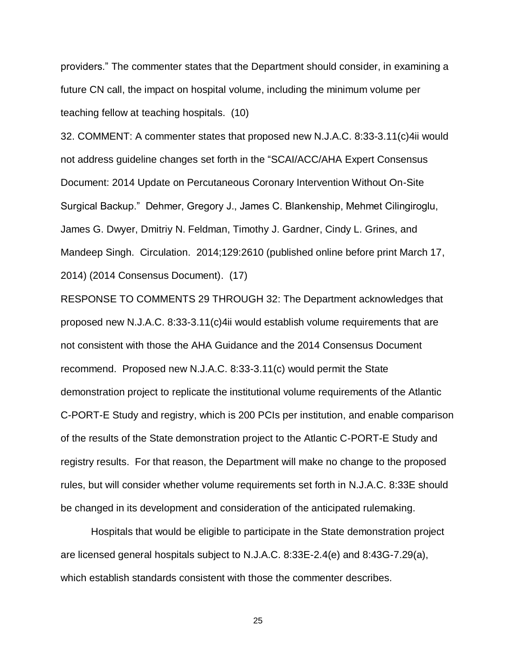providers." The commenter states that the Department should consider, in examining a future CN call, the impact on hospital volume, including the minimum volume per teaching fellow at teaching hospitals. (10)

32. COMMENT: A commenter states that proposed new N.J.A.C. 8:33-3.11(c)4ii would not address guideline changes set forth in the "SCAI/ACC/AHA Expert Consensus Document: 2014 Update on Percutaneous Coronary Intervention Without On-Site Surgical Backup." Dehmer, Gregory J., James C. Blankenship, Mehmet Cilingiroglu, James G. Dwyer, Dmitriy N. Feldman, Timothy J. Gardner, Cindy L. Grines, and Mandeep Singh. Circulation. 2014;129:2610 (published online before print March 17, 2014) (2014 Consensus Document). (17)

RESPONSE TO COMMENTS 29 THROUGH 32: The Department acknowledges that proposed new N.J.A.C. 8:33-3.11(c)4ii would establish volume requirements that are not consistent with those the AHA Guidance and the 2014 Consensus Document recommend. Proposed new N.J.A.C. 8:33-3.11(c) would permit the State demonstration project to replicate the institutional volume requirements of the Atlantic C-PORT-E Study and registry, which is 200 PCIs per institution, and enable comparison of the results of the State demonstration project to the Atlantic C-PORT-E Study and registry results. For that reason, the Department will make no change to the proposed rules, but will consider whether volume requirements set forth in N.J.A.C. 8:33E should be changed in its development and consideration of the anticipated rulemaking.

Hospitals that would be eligible to participate in the State demonstration project are licensed general hospitals subject to N.J.A.C. 8:33E-2.4(e) and 8:43G-7.29(a), which establish standards consistent with those the commenter describes.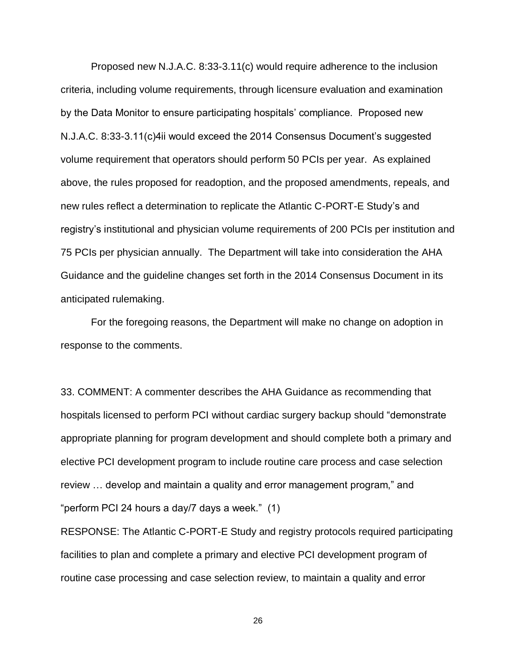Proposed new N.J.A.C. 8:33-3.11(c) would require adherence to the inclusion criteria, including volume requirements, through licensure evaluation and examination by the Data Monitor to ensure participating hospitals' compliance. Proposed new N.J.A.C. 8:33-3.11(c)4ii would exceed the 2014 Consensus Document's suggested volume requirement that operators should perform 50 PCIs per year. As explained above, the rules proposed for readoption, and the proposed amendments, repeals, and new rules reflect a determination to replicate the Atlantic C-PORT-E Study's and registry's institutional and physician volume requirements of 200 PCIs per institution and 75 PCIs per physician annually. The Department will take into consideration the AHA Guidance and the guideline changes set forth in the 2014 Consensus Document in its anticipated rulemaking.

For the foregoing reasons, the Department will make no change on adoption in response to the comments.

33. COMMENT: A commenter describes the AHA Guidance as recommending that hospitals licensed to perform PCI without cardiac surgery backup should "demonstrate appropriate planning for program development and should complete both a primary and elective PCI development program to include routine care process and case selection review … develop and maintain a quality and error management program," and "perform PCI 24 hours a day/7 days a week." (1)

RESPONSE: The Atlantic C-PORT-E Study and registry protocols required participating facilities to plan and complete a primary and elective PCI development program of routine case processing and case selection review, to maintain a quality and error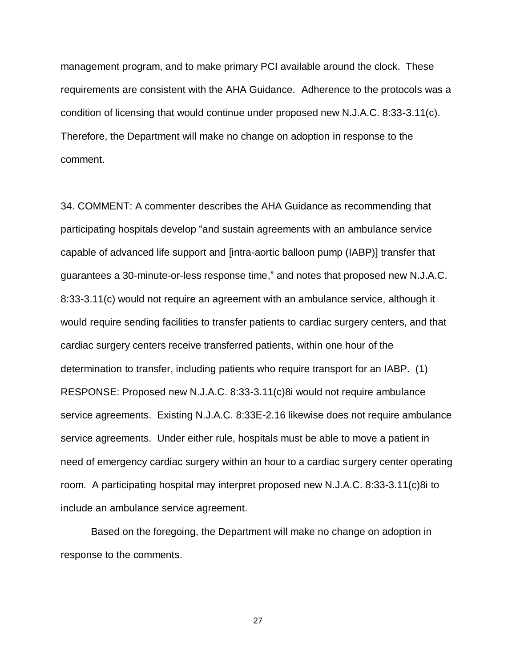management program, and to make primary PCI available around the clock. These requirements are consistent with the AHA Guidance. Adherence to the protocols was a condition of licensing that would continue under proposed new N.J.A.C. 8:33-3.11(c). Therefore, the Department will make no change on adoption in response to the comment.

34. COMMENT: A commenter describes the AHA Guidance as recommending that participating hospitals develop "and sustain agreements with an ambulance service capable of advanced life support and [intra-aortic balloon pump (IABP)] transfer that guarantees a 30-minute-or-less response time," and notes that proposed new N.J.A.C. 8:33-3.11(c) would not require an agreement with an ambulance service, although it would require sending facilities to transfer patients to cardiac surgery centers, and that cardiac surgery centers receive transferred patients, within one hour of the determination to transfer, including patients who require transport for an IABP. (1) RESPONSE: Proposed new N.J.A.C. 8:33-3.11(c)8i would not require ambulance service agreements. Existing N.J.A.C. 8:33E-2.16 likewise does not require ambulance service agreements. Under either rule, hospitals must be able to move a patient in need of emergency cardiac surgery within an hour to a cardiac surgery center operating room. A participating hospital may interpret proposed new N.J.A.C. 8:33-3.11(c)8i to include an ambulance service agreement.

Based on the foregoing, the Department will make no change on adoption in response to the comments.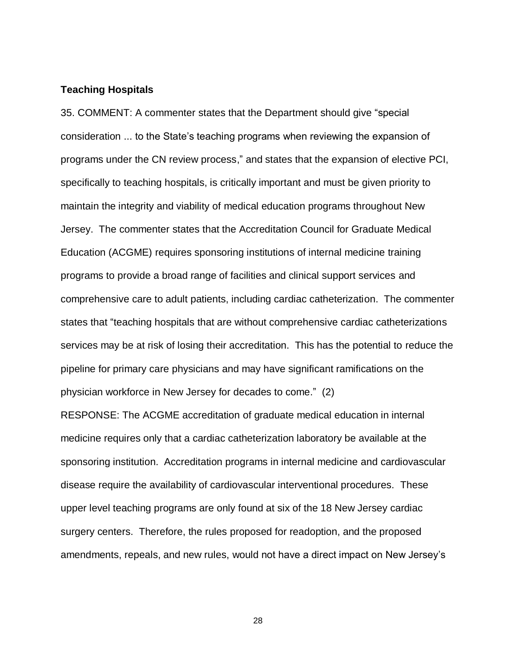#### **Teaching Hospitals**

35. COMMENT: A commenter states that the Department should give "special consideration ... to the State's teaching programs when reviewing the expansion of programs under the CN review process," and states that the expansion of elective PCI, specifically to teaching hospitals, is critically important and must be given priority to maintain the integrity and viability of medical education programs throughout New Jersey. The commenter states that the Accreditation Council for Graduate Medical Education (ACGME) requires sponsoring institutions of internal medicine training programs to provide a broad range of facilities and clinical support services and comprehensive care to adult patients, including cardiac catheterization. The commenter states that "teaching hospitals that are without comprehensive cardiac catheterizations services may be at risk of losing their accreditation. This has the potential to reduce the pipeline for primary care physicians and may have significant ramifications on the physician workforce in New Jersey for decades to come." (2)

RESPONSE: The ACGME accreditation of graduate medical education in internal medicine requires only that a cardiac catheterization laboratory be available at the sponsoring institution. Accreditation programs in internal medicine and cardiovascular disease require the availability of cardiovascular interventional procedures. These upper level teaching programs are only found at six of the 18 New Jersey cardiac surgery centers. Therefore, the rules proposed for readoption, and the proposed amendments, repeals, and new rules, would not have a direct impact on New Jersey's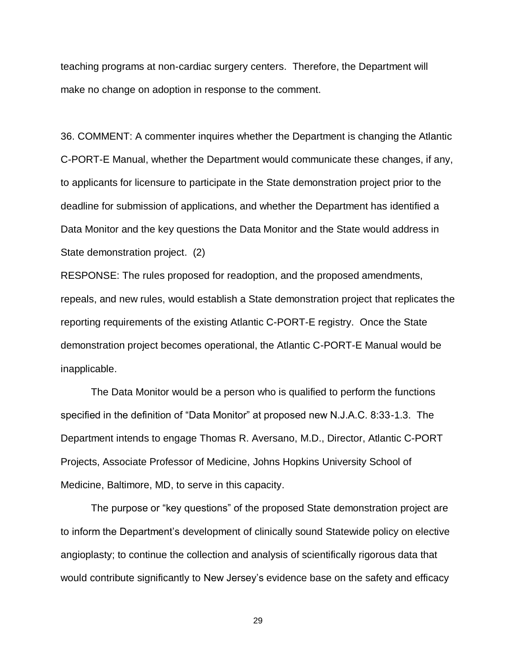teaching programs at non-cardiac surgery centers. Therefore, the Department will make no change on adoption in response to the comment.

36. COMMENT: A commenter inquires whether the Department is changing the Atlantic C-PORT-E Manual, whether the Department would communicate these changes, if any, to applicants for licensure to participate in the State demonstration project prior to the deadline for submission of applications, and whether the Department has identified a Data Monitor and the key questions the Data Monitor and the State would address in State demonstration project. (2)

RESPONSE: The rules proposed for readoption, and the proposed amendments, repeals, and new rules, would establish a State demonstration project that replicates the reporting requirements of the existing Atlantic C-PORT-E registry. Once the State demonstration project becomes operational, the Atlantic C-PORT-E Manual would be inapplicable.

The Data Monitor would be a person who is qualified to perform the functions specified in the definition of "Data Monitor" at proposed new N.J.A.C. 8:33-1.3. The Department intends to engage Thomas R. Aversano, M.D., Director, Atlantic C-PORT Projects, Associate Professor of Medicine, Johns Hopkins University School of Medicine, Baltimore, MD, to serve in this capacity.

The purpose or "key questions" of the proposed State demonstration project are to inform the Department's development of clinically sound Statewide policy on elective angioplasty; to continue the collection and analysis of scientifically rigorous data that would contribute significantly to New Jersey's evidence base on the safety and efficacy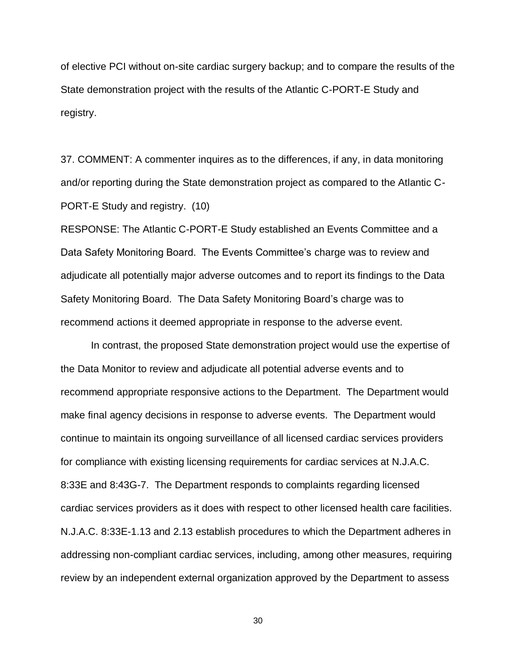of elective PCI without on-site cardiac surgery backup; and to compare the results of the State demonstration project with the results of the Atlantic C-PORT-E Study and registry.

37. COMMENT: A commenter inquires as to the differences, if any, in data monitoring and/or reporting during the State demonstration project as compared to the Atlantic C-PORT-E Study and registry. (10)

RESPONSE: The Atlantic C-PORT-E Study established an Events Committee and a Data Safety Monitoring Board. The Events Committee's charge was to review and adjudicate all potentially major adverse outcomes and to report its findings to the Data Safety Monitoring Board. The Data Safety Monitoring Board's charge was to recommend actions it deemed appropriate in response to the adverse event.

In contrast, the proposed State demonstration project would use the expertise of the Data Monitor to review and adjudicate all potential adverse events and to recommend appropriate responsive actions to the Department. The Department would make final agency decisions in response to adverse events. The Department would continue to maintain its ongoing surveillance of all licensed cardiac services providers for compliance with existing licensing requirements for cardiac services at N.J.A.C. 8:33E and 8:43G-7. The Department responds to complaints regarding licensed cardiac services providers as it does with respect to other licensed health care facilities. N.J.A.C. 8:33E-1.13 and 2.13 establish procedures to which the Department adheres in addressing non-compliant cardiac services, including, among other measures, requiring review by an independent external organization approved by the Department to assess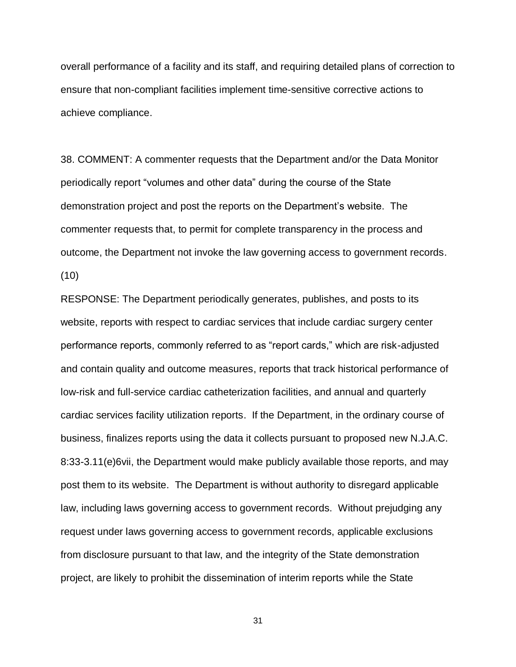overall performance of a facility and its staff, and requiring detailed plans of correction to ensure that non-compliant facilities implement time-sensitive corrective actions to achieve compliance.

38. COMMENT: A commenter requests that the Department and/or the Data Monitor periodically report "volumes and other data" during the course of the State demonstration project and post the reports on the Department's website. The commenter requests that, to permit for complete transparency in the process and outcome, the Department not invoke the law governing access to government records. (10)

RESPONSE: The Department periodically generates, publishes, and posts to its website, reports with respect to cardiac services that include cardiac surgery center performance reports, commonly referred to as "report cards," which are risk-adjusted and contain quality and outcome measures, reports that track historical performance of low-risk and full-service cardiac catheterization facilities, and annual and quarterly cardiac services facility utilization reports. If the Department, in the ordinary course of business, finalizes reports using the data it collects pursuant to proposed new N.J.A.C. 8:33-3.11(e)6vii, the Department would make publicly available those reports, and may post them to its website. The Department is without authority to disregard applicable law, including laws governing access to government records. Without prejudging any request under laws governing access to government records, applicable exclusions from disclosure pursuant to that law, and the integrity of the State demonstration project, are likely to prohibit the dissemination of interim reports while the State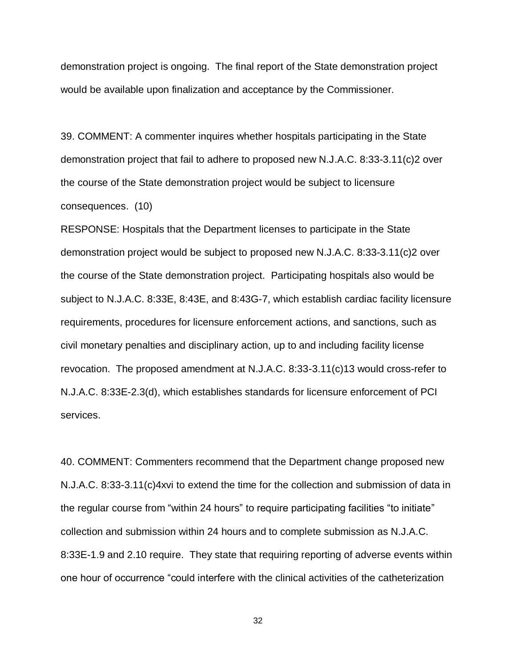demonstration project is ongoing. The final report of the State demonstration project would be available upon finalization and acceptance by the Commissioner.

39. COMMENT: A commenter inquires whether hospitals participating in the State demonstration project that fail to adhere to proposed new N.J.A.C. 8:33-3.11(c)2 over the course of the State demonstration project would be subject to licensure consequences. (10)

RESPONSE: Hospitals that the Department licenses to participate in the State demonstration project would be subject to proposed new N.J.A.C. 8:33-3.11(c)2 over the course of the State demonstration project. Participating hospitals also would be subject to N.J.A.C. 8:33E, 8:43E, and 8:43G-7, which establish cardiac facility licensure requirements, procedures for licensure enforcement actions, and sanctions, such as civil monetary penalties and disciplinary action, up to and including facility license revocation. The proposed amendment at N.J.A.C. 8:33-3.11(c)13 would cross-refer to N.J.A.C. 8:33E-2.3(d), which establishes standards for licensure enforcement of PCI services.

40. COMMENT: Commenters recommend that the Department change proposed new N.J.A.C. 8:33-3.11(c)4xvi to extend the time for the collection and submission of data in the regular course from "within 24 hours" to require participating facilities "to initiate" collection and submission within 24 hours and to complete submission as N.J.A.C. 8:33E-1.9 and 2.10 require. They state that requiring reporting of adverse events within one hour of occurrence "could interfere with the clinical activities of the catheterization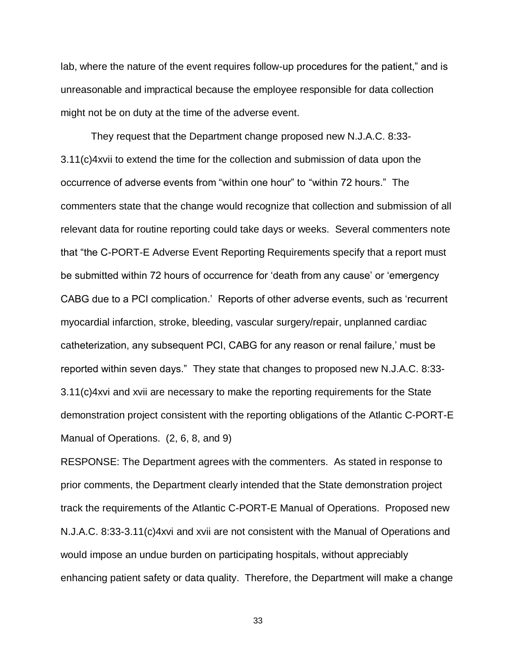lab, where the nature of the event requires follow-up procedures for the patient," and is unreasonable and impractical because the employee responsible for data collection might not be on duty at the time of the adverse event.

They request that the Department change proposed new N.J.A.C. 8:33- 3.11(c)4xvii to extend the time for the collection and submission of data upon the occurrence of adverse events from "within one hour" to "within 72 hours." The commenters state that the change would recognize that collection and submission of all relevant data for routine reporting could take days or weeks. Several commenters note that "the C-PORT-E Adverse Event Reporting Requirements specify that a report must be submitted within 72 hours of occurrence for 'death from any cause' or 'emergency CABG due to a PCI complication.' Reports of other adverse events, such as 'recurrent myocardial infarction, stroke, bleeding, vascular surgery/repair, unplanned cardiac catheterization, any subsequent PCI, CABG for any reason or renal failure,' must be reported within seven days." They state that changes to proposed new N.J.A.C. 8:33- 3.11(c)4xvi and xvii are necessary to make the reporting requirements for the State demonstration project consistent with the reporting obligations of the Atlantic C-PORT-E Manual of Operations. (2, 6, 8, and 9)

RESPONSE: The Department agrees with the commenters. As stated in response to prior comments, the Department clearly intended that the State demonstration project track the requirements of the Atlantic C-PORT-E Manual of Operations. Proposed new N.J.A.C. 8:33-3.11(c)4xvi and xvii are not consistent with the Manual of Operations and would impose an undue burden on participating hospitals, without appreciably enhancing patient safety or data quality. Therefore, the Department will make a change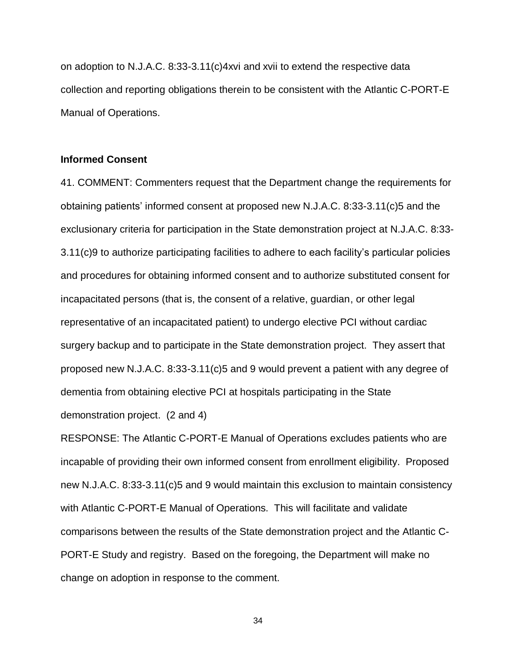on adoption to N.J.A.C. 8:33-3.11(c)4xvi and xvii to extend the respective data collection and reporting obligations therein to be consistent with the Atlantic C-PORT-E Manual of Operations.

#### **Informed Consent**

41. COMMENT: Commenters request that the Department change the requirements for obtaining patients' informed consent at proposed new N.J.A.C. 8:33-3.11(c)5 and the exclusionary criteria for participation in the State demonstration project at N.J.A.C. 8:33- 3.11(c)9 to authorize participating facilities to adhere to each facility's particular policies and procedures for obtaining informed consent and to authorize substituted consent for incapacitated persons (that is, the consent of a relative, guardian, or other legal representative of an incapacitated patient) to undergo elective PCI without cardiac surgery backup and to participate in the State demonstration project. They assert that proposed new N.J.A.C. 8:33-3.11(c)5 and 9 would prevent a patient with any degree of dementia from obtaining elective PCI at hospitals participating in the State demonstration project. (2 and 4)

RESPONSE: The Atlantic C-PORT-E Manual of Operations excludes patients who are incapable of providing their own informed consent from enrollment eligibility. Proposed new N.J.A.C. 8:33-3.11(c)5 and 9 would maintain this exclusion to maintain consistency with Atlantic C-PORT-E Manual of Operations. This will facilitate and validate comparisons between the results of the State demonstration project and the Atlantic C-PORT-E Study and registry. Based on the foregoing, the Department will make no change on adoption in response to the comment.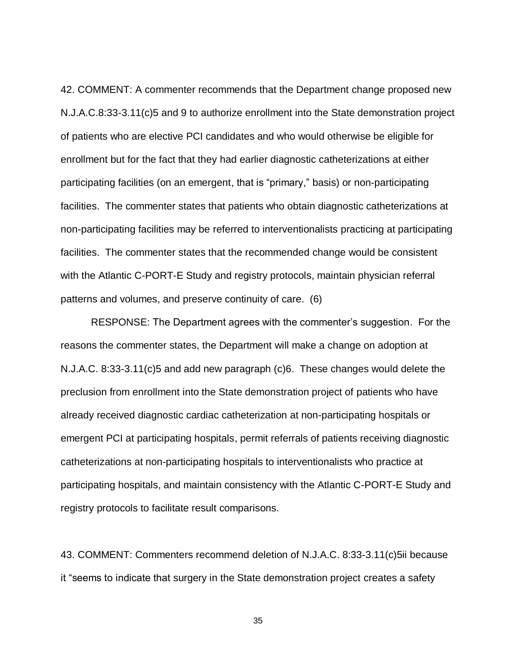42. COMMENT: A commenter recommends that the Department change proposed new N.J.A.C.8:33-3.11(c)5 and 9 to authorize enrollment into the State demonstration project of patients who are elective PCI candidates and who would otherwise be eligible for enrollment but for the fact that they had earlier diagnostic catheterizations at either participating facilities (on an emergent, that is "primary," basis) or non-participating facilities. The commenter states that patients who obtain diagnostic catheterizations at non-participating facilities may be referred to interventionalists practicing at participating facilities. The commenter states that the recommended change would be consistent with the Atlantic C-PORT-E Study and registry protocols, maintain physician referral patterns and volumes, and preserve continuity of care. (6)

RESPONSE: The Department agrees with the commenter's suggestion. For the reasons the commenter states, the Department will make a change on adoption at N.J.A.C. 8:33-3.11(c)5 and add new paragraph (c)6. These changes would delete the preclusion from enrollment into the State demonstration project of patients who have already received diagnostic cardiac catheterization at non-participating hospitals or emergent PCI at participating hospitals, permit referrals of patients receiving diagnostic catheterizations at non-participating hospitals to interventionalists who practice at participating hospitals, and maintain consistency with the Atlantic C-PORT-E Study and registry protocols to facilitate result comparisons.

43. COMMENT: Commenters recommend deletion of N.J.A.C. 8:33-3.11(c)5ii because it "seems to indicate that surgery in the State demonstration project creates a safety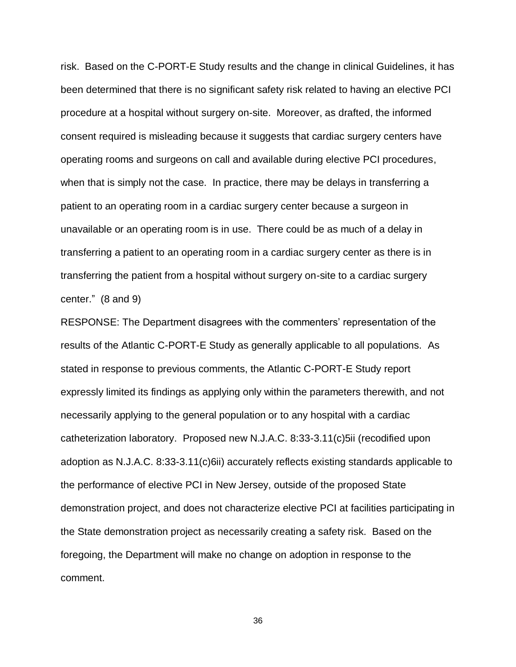risk. Based on the C-PORT-E Study results and the change in clinical Guidelines, it has been determined that there is no significant safety risk related to having an elective PCI procedure at a hospital without surgery on-site. Moreover, as drafted, the informed consent required is misleading because it suggests that cardiac surgery centers have operating rooms and surgeons on call and available during elective PCI procedures, when that is simply not the case. In practice, there may be delays in transferring a patient to an operating room in a cardiac surgery center because a surgeon in unavailable or an operating room is in use. There could be as much of a delay in transferring a patient to an operating room in a cardiac surgery center as there is in transferring the patient from a hospital without surgery on-site to a cardiac surgery center." (8 and 9)

RESPONSE: The Department disagrees with the commenters' representation of the results of the Atlantic C-PORT-E Study as generally applicable to all populations. As stated in response to previous comments, the Atlantic C-PORT-E Study report expressly limited its findings as applying only within the parameters therewith, and not necessarily applying to the general population or to any hospital with a cardiac catheterization laboratory. Proposed new N.J.A.C. 8:33-3.11(c)5ii (recodified upon adoption as N.J.A.C. 8:33-3.11(c)6ii) accurately reflects existing standards applicable to the performance of elective PCI in New Jersey, outside of the proposed State demonstration project, and does not characterize elective PCI at facilities participating in the State demonstration project as necessarily creating a safety risk. Based on the foregoing, the Department will make no change on adoption in response to the comment.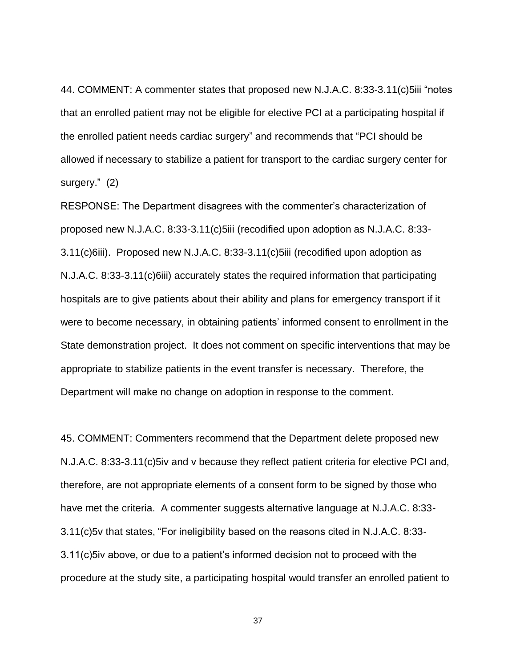44. COMMENT: A commenter states that proposed new N.J.A.C. 8:33-3.11(c)5iii "notes that an enrolled patient may not be eligible for elective PCI at a participating hospital if the enrolled patient needs cardiac surgery" and recommends that "PCI should be allowed if necessary to stabilize a patient for transport to the cardiac surgery center for surgery." (2)

RESPONSE: The Department disagrees with the commenter's characterization of proposed new N.J.A.C. 8:33-3.11(c)5iii (recodified upon adoption as N.J.A.C. 8:33- 3.11(c)6iii). Proposed new N.J.A.C. 8:33-3.11(c)5iii (recodified upon adoption as N.J.A.C. 8:33-3.11(c)6iii) accurately states the required information that participating hospitals are to give patients about their ability and plans for emergency transport if it were to become necessary, in obtaining patients' informed consent to enrollment in the State demonstration project. It does not comment on specific interventions that may be appropriate to stabilize patients in the event transfer is necessary. Therefore, the Department will make no change on adoption in response to the comment.

45. COMMENT: Commenters recommend that the Department delete proposed new N.J.A.C. 8:33-3.11(c)5iv and v because they reflect patient criteria for elective PCI and, therefore, are not appropriate elements of a consent form to be signed by those who have met the criteria. A commenter suggests alternative language at N.J.A.C. 8:33- 3.11(c)5v that states, "For ineligibility based on the reasons cited in N.J.A.C. 8:33- 3.11(c)5iv above, or due to a patient's informed decision not to proceed with the procedure at the study site, a participating hospital would transfer an enrolled patient to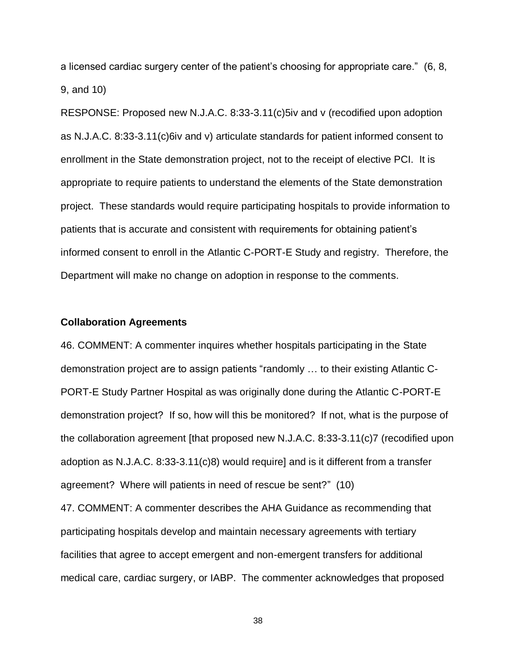a licensed cardiac surgery center of the patient's choosing for appropriate care." (6, 8, 9, and 10)

RESPONSE: Proposed new N.J.A.C. 8:33-3.11(c)5iv and v (recodified upon adoption as N.J.A.C. 8:33-3.11(c)6iv and v) articulate standards for patient informed consent to enrollment in the State demonstration project, not to the receipt of elective PCI. It is appropriate to require patients to understand the elements of the State demonstration project. These standards would require participating hospitals to provide information to patients that is accurate and consistent with requirements for obtaining patient's informed consent to enroll in the Atlantic C-PORT-E Study and registry. Therefore, the Department will make no change on adoption in response to the comments.

## **Collaboration Agreements**

46. COMMENT: A commenter inquires whether hospitals participating in the State demonstration project are to assign patients "randomly … to their existing Atlantic C-PORT-E Study Partner Hospital as was originally done during the Atlantic C-PORT-E demonstration project? If so, how will this be monitored? If not, what is the purpose of the collaboration agreement [that proposed new N.J.A.C. 8:33-3.11(c)7 (recodified upon adoption as N.J.A.C. 8:33-3.11(c)8) would require] and is it different from a transfer agreement? Where will patients in need of rescue be sent?" (10)

47. COMMENT: A commenter describes the AHA Guidance as recommending that participating hospitals develop and maintain necessary agreements with tertiary facilities that agree to accept emergent and non-emergent transfers for additional medical care, cardiac surgery, or IABP. The commenter acknowledges that proposed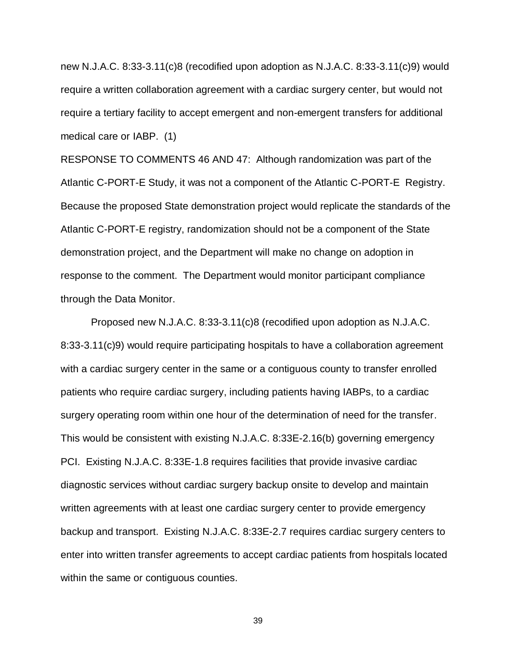new N.J.A.C. 8:33-3.11(c)8 (recodified upon adoption as N.J.A.C. 8:33-3.11(c)9) would require a written collaboration agreement with a cardiac surgery center, but would not require a tertiary facility to accept emergent and non-emergent transfers for additional medical care or IABP. (1)

RESPONSE TO COMMENTS 46 AND 47: Although randomization was part of the Atlantic C-PORT-E Study, it was not a component of the Atlantic C-PORT-E Registry. Because the proposed State demonstration project would replicate the standards of the Atlantic C-PORT-E registry, randomization should not be a component of the State demonstration project, and the Department will make no change on adoption in response to the comment. The Department would monitor participant compliance through the Data Monitor.

Proposed new N.J.A.C. 8:33-3.11(c)8 (recodified upon adoption as N.J.A.C. 8:33-3.11(c)9) would require participating hospitals to have a collaboration agreement with a cardiac surgery center in the same or a contiguous county to transfer enrolled patients who require cardiac surgery, including patients having IABPs, to a cardiac surgery operating room within one hour of the determination of need for the transfer. This would be consistent with existing N.J.A.C. 8:33E-2.16(b) governing emergency PCI. Existing N.J.A.C. 8:33E-1.8 requires facilities that provide invasive cardiac diagnostic services without cardiac surgery backup onsite to develop and maintain written agreements with at least one cardiac surgery center to provide emergency backup and transport. Existing N.J.A.C. 8:33E-2.7 requires cardiac surgery centers to enter into written transfer agreements to accept cardiac patients from hospitals located within the same or contiguous counties.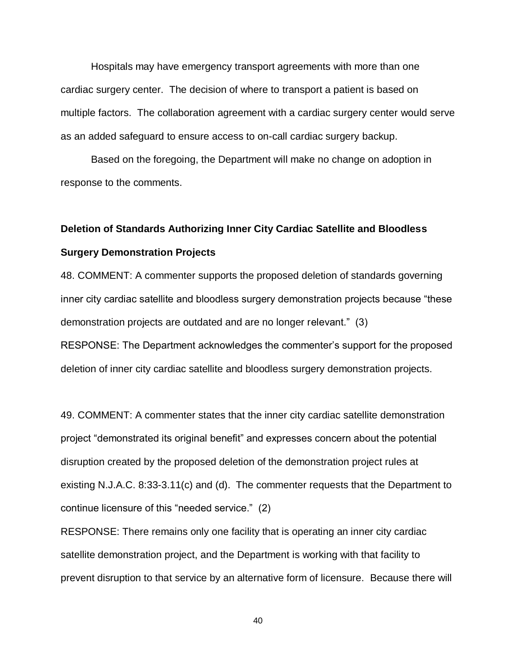Hospitals may have emergency transport agreements with more than one cardiac surgery center. The decision of where to transport a patient is based on multiple factors. The collaboration agreement with a cardiac surgery center would serve as an added safeguard to ensure access to on-call cardiac surgery backup.

Based on the foregoing, the Department will make no change on adoption in response to the comments.

# **Deletion of Standards Authorizing Inner City Cardiac Satellite and Bloodless Surgery Demonstration Projects**

48. COMMENT: A commenter supports the proposed deletion of standards governing inner city cardiac satellite and bloodless surgery demonstration projects because "these demonstration projects are outdated and are no longer relevant." (3) RESPONSE: The Department acknowledges the commenter's support for the proposed deletion of inner city cardiac satellite and bloodless surgery demonstration projects.

49. COMMENT: A commenter states that the inner city cardiac satellite demonstration project "demonstrated its original benefit" and expresses concern about the potential disruption created by the proposed deletion of the demonstration project rules at existing N.J.A.C. 8:33-3.11(c) and (d). The commenter requests that the Department to continue licensure of this "needed service." (2)

RESPONSE: There remains only one facility that is operating an inner city cardiac satellite demonstration project, and the Department is working with that facility to prevent disruption to that service by an alternative form of licensure. Because there will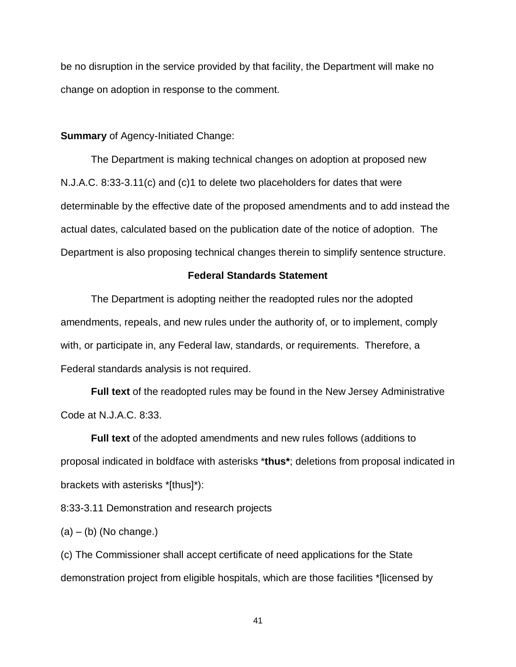be no disruption in the service provided by that facility, the Department will make no change on adoption in response to the comment.

**Summary** of Agency-Initiated Change:

The Department is making technical changes on adoption at proposed new N.J.A.C. 8:33-3.11(c) and (c)1 to delete two placeholders for dates that were determinable by the effective date of the proposed amendments and to add instead the actual dates, calculated based on the publication date of the notice of adoption. The Department is also proposing technical changes therein to simplify sentence structure.

## **Federal Standards Statement**

The Department is adopting neither the readopted rules nor the adopted amendments, repeals, and new rules under the authority of, or to implement, comply with, or participate in, any Federal law, standards, or requirements. Therefore, a Federal standards analysis is not required.

**Full text** of the readopted rules may be found in the New Jersey Administrative Code at N.J.A.C. 8:33.

**Full text** of the adopted amendments and new rules follows (additions to proposal indicated in boldface with asterisks \***thus\***; deletions from proposal indicated in brackets with asterisks \*[thus]\*):

8:33-3.11 Demonstration and research projects

 $(a) - (b)$  (No change.)

(c) The Commissioner shall accept certificate of need applications for the State demonstration project from eligible hospitals, which are those facilities \*[licensed by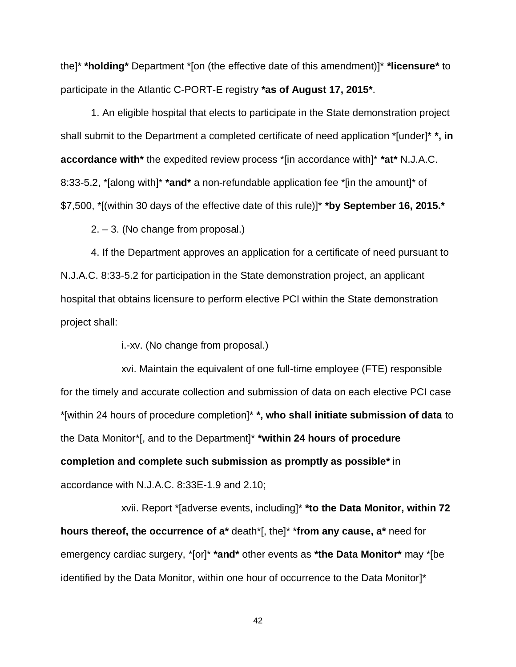the]\* **\*holding\*** Department \*[on (the effective date of this amendment)]\* **\*licensure\*** to participate in the Atlantic C-PORT-E registry **\*as of August 17, 2015\***.

1. An eligible hospital that elects to participate in the State demonstration project shall submit to the Department a completed certificate of need application \*[under]\* **\*, in accordance with\*** the expedited review process \*[in accordance with]\* **\*at\*** N.J.A.C. 8:33-5.2, \*[along with]\* **\*and\*** a non-refundable application fee \*[in the amount]\* of \$7,500, \*[(within 30 days of the effective date of this rule)]\* **\*by September 16, 2015.\***

2. – 3. (No change from proposal.)

4. If the Department approves an application for a certificate of need pursuant to N.J.A.C. 8:33-5.2 for participation in the State demonstration project, an applicant hospital that obtains licensure to perform elective PCI within the State demonstration project shall:

i.-xv. (No change from proposal.)

xvi. Maintain the equivalent of one full-time employee (FTE) responsible for the timely and accurate collection and submission of data on each elective PCI case \*[within 24 hours of procedure completion]\* **\*, who shall initiate submission of data** to the Data Monitor\*[, and to the Department]\* **\*within 24 hours of procedure completion and complete such submission as promptly as possible\*** in accordance with N.J.A.C. 8:33E-1.9 and 2.10;

xvii. Report \*[adverse events, including]\* **\*to the Data Monitor, within 72 hours thereof, the occurrence of a\*** death\*[, the]\* \***from any cause, a\*** need for emergency cardiac surgery, \*[or]\* **\*and\*** other events as **\*the Data Monitor\*** may \*[be identified by the Data Monitor, within one hour of occurrence to the Data Monitor]\*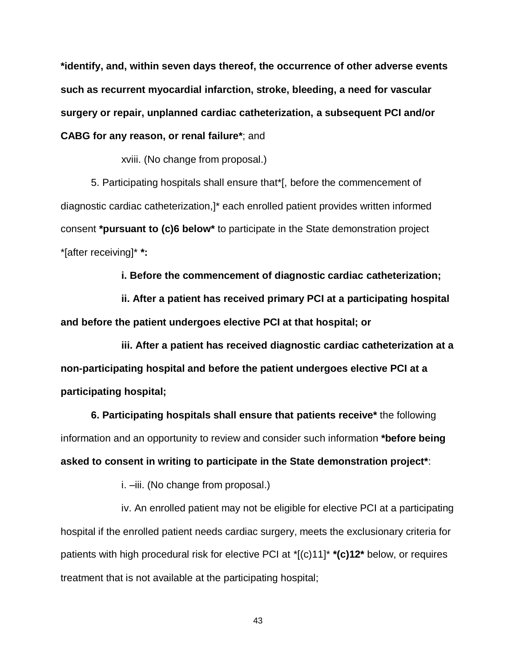**\*identify, and, within seven days thereof, the occurrence of other adverse events such as recurrent myocardial infarction, stroke, bleeding, a need for vascular surgery or repair, unplanned cardiac catheterization, a subsequent PCI and/or CABG for any reason, or renal failure\***; and

xviii. (No change from proposal.)

5. Participating hospitals shall ensure that\*[, before the commencement of diagnostic cardiac catheterization,]\* each enrolled patient provides written informed consent **\*pursuant to (c)6 below\*** to participate in the State demonstration project \*[after receiving]\* **\*:**

**i. Before the commencement of diagnostic cardiac catheterization;**

**ii. After a patient has received primary PCI at a participating hospital and before the patient undergoes elective PCI at that hospital; or**

**iii. After a patient has received diagnostic cardiac catheterization at a non-participating hospital and before the patient undergoes elective PCI at a participating hospital;**

**6. Participating hospitals shall ensure that patients receive\*** the following information and an opportunity to review and consider such information **\*before being asked to consent in writing to participate in the State demonstration project\***:

i.  $-iii$ . (No change from proposal.)

iv. An enrolled patient may not be eligible for elective PCI at a participating hospital if the enrolled patient needs cardiac surgery, meets the exclusionary criteria for patients with high procedural risk for elective PCI at \*[(c)11]\* **\*(c)12\*** below, or requires treatment that is not available at the participating hospital;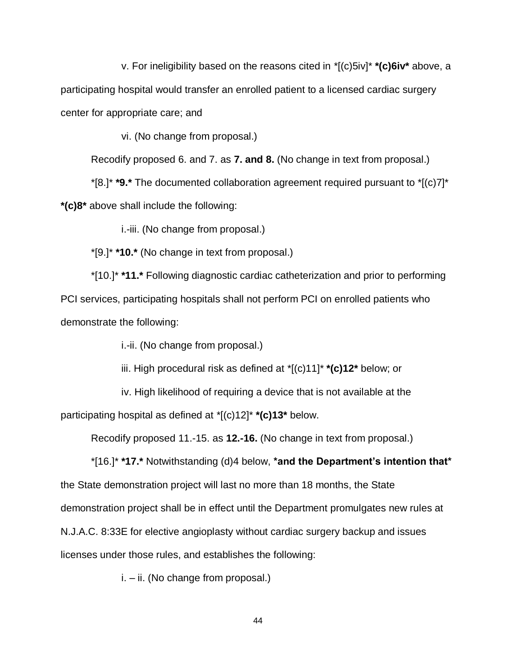v. For ineligibility based on the reasons cited in \*[(c)5iv]\* **\*(c)6iv\*** above, a participating hospital would transfer an enrolled patient to a licensed cardiac surgery center for appropriate care; and

vi. (No change from proposal.)

Recodify proposed 6. and 7. as **7. and 8.** (No change in text from proposal.)

\*[8.]\* **\*9.\*** The documented collaboration agreement required pursuant to \*[(c)7]\* **\*(c)8\*** above shall include the following:

i.-iii. (No change from proposal.)

\*[9.]\* **\*10.\*** (No change in text from proposal.)

\*[10.]\* **\*11.\*** Following diagnostic cardiac catheterization and prior to performing PCI services, participating hospitals shall not perform PCI on enrolled patients who demonstrate the following:

i.-ii. (No change from proposal.)

iii. High procedural risk as defined at \*[(c)11]\* **\*(c)12\*** below; or

iv. High likelihood of requiring a device that is not available at the

participating hospital as defined at \*[(c)12]\* **\*(c)13\*** below.

Recodify proposed 11.-15. as **12.-16.** (No change in text from proposal.)

\*[16.]\* **\*17.\*** Notwithstanding (d)4 below, **\*and the Department's intention that\*** the State demonstration project will last no more than 18 months, the State demonstration project shall be in effect until the Department promulgates new rules at N.J.A.C. 8:33E for elective angioplasty without cardiac surgery backup and issues licenses under those rules, and establishes the following:

i. – ii. (No change from proposal.)